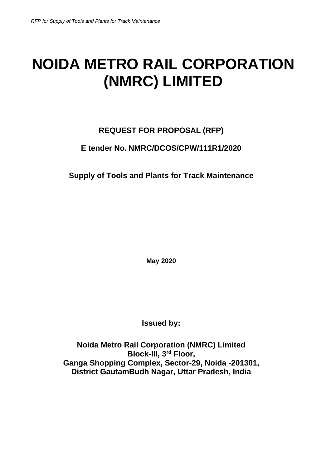# **NOIDA METRO RAIL CORPORATION (NMRC) LIMITED**

# **REQUEST FOR PROPOSAL (RFP)**

# **E tender No. NMRC/DCOS/CPW/111R1/2020**

**Supply of Tools and Plants for Track Maintenance**

**May 2020**

**Issued by:**

**Noida Metro Rail Corporation (NMRC) Limited Block-III, 3rd Floor, Ganga Shopping Complex, Sector-29, Noida -201301, District GautamBudh Nagar, Uttar Pradesh, India**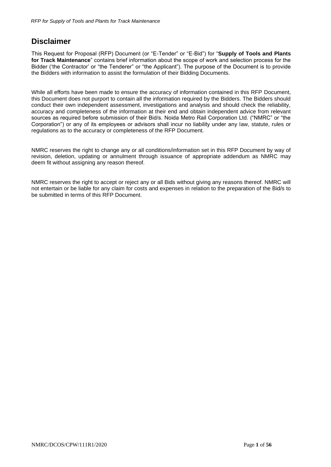# <span id="page-1-0"></span>**Disclaimer**

This Request for Proposal (RFP) Document (or "E-Tender" or "E-Bid") for "**Supply of Tools and Plants for Track Maintenance**" contains brief information about the scope of work and selection process for the Bidder ('the Contractor' or "the Tenderer" or "the Applicant"). The purpose of the Document is to provide the Bidders with information to assist the formulation of their Bidding Documents.

While all efforts have been made to ensure the accuracy of information contained in this RFP Document, this Document does not purport to contain all the information required by the Bidders. The Bidders should conduct their own independent assessment, investigations and analysis and should check the reliability, accuracy and completeness of the information at their end and obtain independent advice from relevant sources as required before submission of their Bid/s. Noida Metro Rail Corporation Ltd. ("NMRC" or "the Corporation") or any of its employees or advisors shall incur no liability under any law, statute, rules or regulations as to the accuracy or completeness of the RFP Document.

NMRC reserves the right to change any or all conditions/information set in this RFP Document by way of revision, deletion, updating or annulment through issuance of appropriate addendum as NMRC may deem fit without assigning any reason thereof.

NMRC reserves the right to accept or reject any or all Bids without giving any reasons thereof. NMRC will not entertain or be liable for any claim for costs and expenses in relation to the preparation of the Bid/s to be submitted in terms of this RFP Document.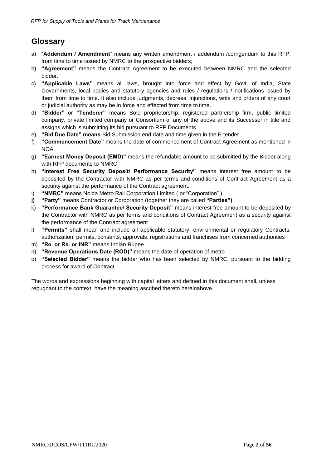# **Glossary**

- a) "**Addendum / Amendment**" means any written amendment / addendum /corrigendum to this RFP, from time to time issued by NMRC to the prospective bidders;
- b) **"Agreement"** means the Contract Agreement to be executed between NMRC and the selected bidder.
- c) **"Applicable Laws"** means all laws, brought into force and effect by Govt. of India, State Governments, local bodies and statutory agencies and rules / regulations / notifications issued by them from time to time. It also include judgments, decrees, injunctions, writs and orders of any court or judicial authority as may be in force and effected from time to time.
- d) **"Bidder"** or **"Tenderer"** means Sole proprietorship, registered partnership firm, public limited company, private limited company or Consortium of any of the above and its Successor in title and assigns which is submitting its bid pursuant to RFP Documents
- e) **"Bid Due Date" means** Bid Submission end date and time given in the E-tender
- f) **"Commencement Date"** means the date of commencement of Contract Agreement as mentioned in **NOA**
- g) **"Earnest Money Deposit (EMD)"** means the refundable amount to be submitted by the Bidder along with RFP documents to NMRC
- h) **"Interest Free Security Deposit/ Performance Security"** means interest free amount to be deposited by the Contractor with NMRC as per terms and conditions of Contract Agreement as a security against the performance of the Contract agreement.
- i) **"NMRC"** means Noida Metro Rail Corporation Limited ( or "Corporation" )
- **j) "Party"** means Contractor or Corporation (together they are called **"Parties")**
- k) **"Performance Bank Guarantee/ Security Deposit"** means interest free amount to be deposited by the Contractor with NMRC as per terms and conditions of Contract Agreement as a security against the performance of the Contract agreement
- l) **"Permits"** shall mean and include all applicable statutory, environmental or regulatory Contracts, authorization, permits, consents, approvals, registrations and franchises from concerned authorities
- m) **"Re. or Rs. or INR"** means Indian Rupee
- n) **"Revenue Operations Date (ROD)"** means the date of operation of metro
- o) **"Selected Bidder"** means the bidder who has been selected by NMRC, pursuant to the bidding process for award of Contract.

The words and expressions beginning with capital letters and defined in this document shall, unless repugnant to the context, have the meaning ascribed thereto hereinabove.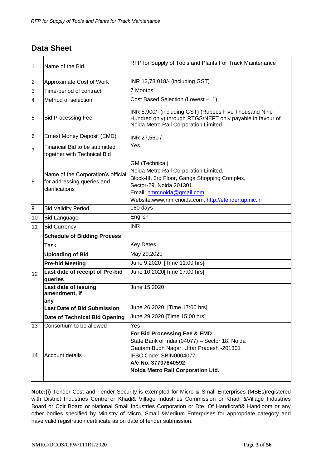# <span id="page-3-0"></span>**Data Sheet**

| 1              | Name of the Bid                                                                    | RFP for Supply of Tools and Plants For Track Maintenance                                                                                                                                                                 |  |  |  |
|----------------|------------------------------------------------------------------------------------|--------------------------------------------------------------------------------------------------------------------------------------------------------------------------------------------------------------------------|--|--|--|
| $\overline{2}$ | Approximate Cost of Work                                                           | INR 13,78,018/- (including GST)                                                                                                                                                                                          |  |  |  |
| 3              | Time-period of contract                                                            | 7 Months                                                                                                                                                                                                                 |  |  |  |
| 4              | Method of selection                                                                | Cost Based Selection (Lowest-L1)                                                                                                                                                                                         |  |  |  |
| 5              | <b>Bid Processing Fee</b>                                                          | INR 5,900/- (including GST) (Rupees Five Thousand Nine<br>Hundred only) through RTGS/NEFT only payable in favour of<br>Noida Metro Rail Corporation Limited                                                              |  |  |  |
| 6              | Ernest Money Deposit (EMD)                                                         | INR 27,560 /-                                                                                                                                                                                                            |  |  |  |
| 7              | Financial Bid to be submitted<br>together with Technical Bid                       | Yes                                                                                                                                                                                                                      |  |  |  |
| 8              | Name of the Corporation's official<br>for addressing queries and<br>clarifications | GM (Technical)<br>Noida Metro Rail Corporation Limited,<br>Block-III, 3rd Floor, Ganga Shopping Complex,<br>Sector-29, Noida 201301<br>Email: nmrcnoida@gmail.com<br>Website:www.nmrcnoida.com, http://etender.up.nic.in |  |  |  |
| 9              | <b>Bid Validity Period</b>                                                         | 180 days                                                                                                                                                                                                                 |  |  |  |
| 10             | <b>Bid Language</b>                                                                | English                                                                                                                                                                                                                  |  |  |  |
| 11             | <b>Bid Currency</b>                                                                | <b>INR</b>                                                                                                                                                                                                               |  |  |  |
|                | <b>Schedule of Bidding Process</b>                                                 |                                                                                                                                                                                                                          |  |  |  |
|                | Task                                                                               | <b>Key Dates</b>                                                                                                                                                                                                         |  |  |  |
|                | <b>Uploading of Bid</b>                                                            | May 29,2020                                                                                                                                                                                                              |  |  |  |
|                | <b>Pre-bid Meeting</b>                                                             | June 9,2020 [Time 11:00 hrs]                                                                                                                                                                                             |  |  |  |
| 12             | Last date of receipt of Pre-bid<br>queries                                         | June 10,2020 [Time 17:00 hrs]                                                                                                                                                                                            |  |  |  |
|                | Last date of issuing<br>amendment, if<br>any                                       | June 15,2020                                                                                                                                                                                                             |  |  |  |
|                | <b>Last Date of Bid Submission</b>                                                 | June 26,2020 [Time 17:00 hrs]                                                                                                                                                                                            |  |  |  |
|                | Date of Technical Bid Opening                                                      | June 29,2020 [Time 15:00 hrs]                                                                                                                                                                                            |  |  |  |
| 13             | Consortium to be allowed                                                           | Yes                                                                                                                                                                                                                      |  |  |  |
| 14             | Account details                                                                    | For Bid Processing Fee & EMD<br>State Bank of India (04077) - Sector 18, Noida<br>Gautam Budh Nagar, Uttar Pradesh -201301<br>IFSC Code: SBIN0004077<br>A/c No. 37707840592<br>Noida Metro Rail Corporation Ltd.         |  |  |  |

**Note:(i)** Tender Cost and Tender Security is exempted for Micro & Small Enterprises (MSEs)registered with District Industries Centre or Khadi& Village Industries Commission or Khadi &Village Industries Board or Coir Board or National Small Industries Corporation or Dte. Of Handicraft& Handloom or any other bodies specified by Ministry of Micro, Small &Medium Enterprises for appropriate category and have valid registration certificate as on date of tender submission.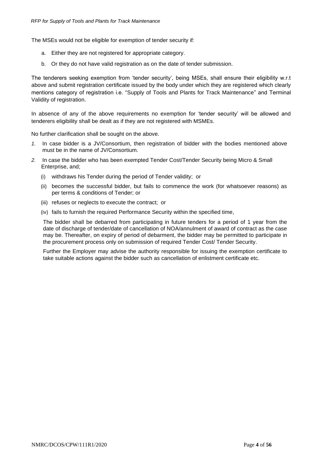The MSEs would not be eligible for exemption of tender security if:

- a. Either they are not registered for appropriate category.
- b. Or they do not have valid registration as on the date of tender submission.

The tenderers seeking exemption from 'tender security', being MSEs, shall ensure their eligibility w.r.t above and submit registration certificate issued by the body under which they are registered which clearly mentions category of registration i.e. "Supply of Tools and Plants for Track Maintenance" and Terminal Validity of registration.

In absence of any of the above requirements no exemption for 'tender security' will be allowed and tenderers eligibility shall be dealt as if they are not registered with MSMEs.

No further clarification shall be sought on the above.

- *1.* In case bidder is a JV/Consortium, then registration of bidder with the bodies mentioned above must be in the name of JV/Consortium.
- *2.* In case the bidder who has been exempted Tender Cost/Tender Security being Micro & Small Enterprise, and;
	- (i) withdraws his Tender during the period of Tender validity; or
	- (ii) becomes the successful bidder, but fails to commence the work (for whatsoever reasons) as per terms & conditions of Tender; or
	- (iii) refuses or neglects to execute the contract; or
	- (iv) fails to furnish the required Performance Security within the specified time,

The bidder shall be debarred from participating in future tenders for a period of 1 year from the date of discharge of tender/date of cancellation of NOA/annulment of award of contract as the case may be. Thereafter, on expiry of period of debarment, the bidder may be permitted to participate in the procurement process only on submission of required Tender Cost/ Tender Security.

Further the Employer may advise the authority responsible for issuing the exemption certificate to take suitable actions against the bidder such as cancellation of enlistment certificate etc.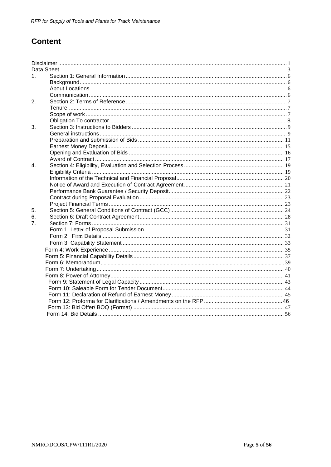# **Content**

| 1.               |  |
|------------------|--|
|                  |  |
|                  |  |
|                  |  |
| 2.               |  |
|                  |  |
|                  |  |
|                  |  |
| 3.               |  |
|                  |  |
|                  |  |
|                  |  |
|                  |  |
|                  |  |
| $\overline{4}$ . |  |
|                  |  |
|                  |  |
|                  |  |
|                  |  |
|                  |  |
|                  |  |
| 5.               |  |
| 6.               |  |
| $\overline{7}$ . |  |
|                  |  |
|                  |  |
|                  |  |
|                  |  |
|                  |  |
|                  |  |
|                  |  |
|                  |  |
|                  |  |
|                  |  |
|                  |  |
|                  |  |
|                  |  |
|                  |  |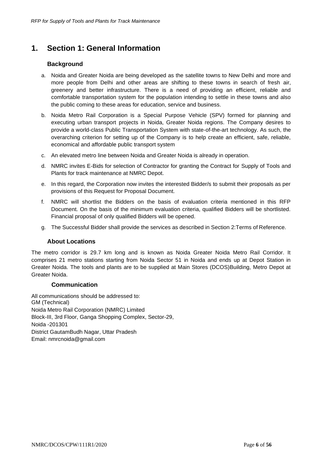# <span id="page-6-1"></span><span id="page-6-0"></span>**1. Section 1: General Information**

# **Background**

- a. Noida and Greater Noida are being developed as the satellite towns to New Delhi and more and more people from Delhi and other areas are shifting to these towns in search of fresh air, greenery and better infrastructure. There is a need of providing an efficient, reliable and comfortable transportation system for the population intending to settle in these towns and also the public coming to these areas for education, service and business.
- b. Noida Metro Rail Corporation is a Special Purpose Vehicle (SPV) formed for planning and executing urban transport projects in Noida, Greater Noida regions. The Company desires to provide a world-class Public Transportation System with state-of-the-art technology. As such, the overarching criterion for setting up of the Company is to help create an efficient, safe, reliable, economical and affordable public transport system
- c. An elevated metro line between Noida and Greater Noida is already in operation.
- d. NMRC invites E-Bids for selection of Contractor for granting the Contract for Supply of Tools and Plants for track maintenance at NMRC Depot.
- e. In this regard, the Corporation now invites the interested Bidder/s to submit their proposals as per provisions of this Request for Proposal Document.
- f. NMRC will shortlist the Bidders on the basis of evaluation criteria mentioned in this RFP Document. On the basis of the minimum evaluation criteria, qualified Bidders will be shortlisted. Financial proposal of only qualified Bidders will be opened.
- g. The Successful Bidder shall provide the services as described in Section 2:Terms of Reference.

## **About Locations**

<span id="page-6-2"></span>The metro corridor is 29.7 km long and is known as Noida Greater Noida Metro Rail Corridor. It comprises 21 metro stations starting from Noida Sector 51 in Noida and ends up at Depot Station in Greater Noida. The tools and plants are to be supplied at Main Stores (DCOS)Building, Metro Depot at Greater Noida.

#### **Communication**

All communications should be addressed to: GM (Technical) Noida Metro Rail Corporation (NMRC) Limited Block-III, 3rd Floor, Ganga Shopping Complex, Sector-29, Noida -201301 District GautamBudh Nagar, Uttar Pradesh Email: [nmrcnoida@gmail.com](mailto:nmrcnoida@gmail.com)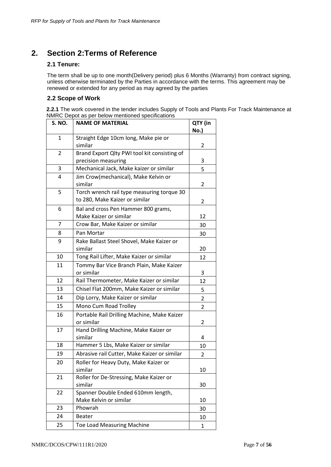# <span id="page-7-1"></span><span id="page-7-0"></span>**2. Section 2:Terms of Reference**

## **2.1 Tenure:**

The term shall be up to one month(Delivery period) plus 6 Months (Warranty) from contract signing, unless otherwise terminated by the Parties in accordance with the terms. This agreement may be renewed or extended for any period as may agreed by the parties

# **2.2 Scope of Work**

**2.2.1** The work covered in the tender includes Supply of Tools and Plants For Track Maintenance at NMRC Depot as per below mentioned specifications

| <b>S. NO.</b>                                          | <u>Report as por bolow incritioned specifications</u><br><b>NAME OF MATERIAL</b> | QTY (in<br>No.) |
|--------------------------------------------------------|----------------------------------------------------------------------------------|-----------------|
| 1                                                      | Straight Edge 10cm long, Make pie or<br>similar                                  | 2               |
| 2                                                      | Brand Export Qlty PWI tool kit consisting of<br>precision measuring              | 3               |
| 3                                                      | Mechanical Jack, Make kaizer or similar                                          | 5               |
| 4                                                      | Jim Crow(mechanical), Make Kelvin or<br>similar                                  | 2               |
| 5                                                      | Torch wrench rail type measuring torque 30<br>to 280, Make Kaizer or similar     |                 |
| 6                                                      | Bal and cross Pen Hammer 800 grams,<br>Make Kaizer or similar                    | 12              |
| 7                                                      | Crow Bar, Make Kaizer or similar                                                 | 30              |
| 8                                                      | Pan Mortar                                                                       | 30              |
| 9                                                      | Rake Ballast Steel Shovel, Make Kaizer or<br>similar                             | 20              |
| 10                                                     | Tong Rail Lifter, Make Kaizer or similar                                         |                 |
| 11                                                     | Tommy Bar Vice Branch Plain, Make Kaizer<br>or similar                           | 3               |
| 12                                                     | Rail Thermometer, Make Kaizer or similar                                         | 12              |
| 13                                                     | Chisel Flat 200mm, Make Kaizer or similar                                        | 5               |
| 14                                                     | Dip Lorry, Make Kaizer or similar                                                | 2               |
| 15                                                     | Mono Cum Road Trolley                                                            | $\overline{2}$  |
| 16                                                     | Portable Rail Drilling Machine, Make Kaizer<br>or similar                        | $\overline{2}$  |
| 17<br>Hand Drilling Machine, Make Kaizer or<br>similar |                                                                                  | 4               |
| 18                                                     | Hammer 5 Lbs, Make Kaizer or similar                                             |                 |
| 19                                                     | Abrasive rail Cutter, Make Kaizer or similar                                     |                 |
| 20                                                     | Roller for Heavy Duty, Make Kaizer or<br>similar                                 |                 |
| 21                                                     | Roller for De-Stressing, Make Kaizer or<br>similar                               | 30              |
| 22                                                     | Spanner Double Ended 610mm length,<br>Make Kelvin or similar                     | 10              |
| 23                                                     | Phowrah                                                                          | 30              |
| 24                                                     | <b>Beater</b>                                                                    | 10              |
| 25                                                     | <b>Toe Load Measuring Machine</b>                                                | $\mathbf{1}$    |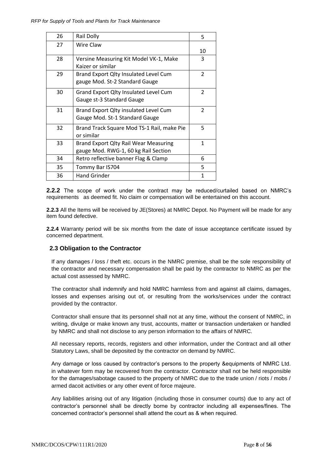| 26 | Rail Dolly                                                                           | 5              |
|----|--------------------------------------------------------------------------------------|----------------|
| 27 | Wire Claw                                                                            | 10             |
| 28 | Versine Measuring Kit Model VK-1, Make<br>Kaizer or similar                          | 3              |
| 29 | Brand Export Qlty Insulated Level Cum<br>gauge Mod. St-2 Standard Gauge              | $\overline{2}$ |
| 30 | Grand Export Qlty Insulated Level Cum<br>Gauge st-3 Standard Gauge                   | 2              |
| 31 | Brand Export Qlty insulated Level Cum<br>Gauge Mod. St-1 Standard Gauge              | 2              |
| 32 | Brand Track Square Mod TS-1 Rail, make Pie<br>or similar                             | 5              |
| 33 | <b>Brand Export Qlty Rail Wear Measuring</b><br>gauge Mod. RWG-1, 60 kg Rail Section | $\mathbf{1}$   |
| 34 | Retro reflective banner Flag & Clamp                                                 | 6              |
| 35 | Tommy Bar IS704                                                                      | 5              |
| 36 | <b>Hand Grinder</b>                                                                  | $\mathbf{1}$   |

<span id="page-8-0"></span>**2.2.2** The scope of work under the contract may be reduced/curtailed based on NMRC's requirements as deemed fit. No claim or compensation will be entertained on this account.

**2.2.3** All the Items will be received by JE(Stores) at NMRC Depot. No Payment will be made for any item found defective.

**2.2.4** Warranty period will be six months from the date of issue acceptance certificate issued by concerned department.

## **2.3 Obligation to the Contractor**

If any damages / loss / theft etc. occurs in the NMRC premise, shall be the sole responsibility of the contractor and necessary compensation shall be paid by the contractor to NMRC as per the actual cost assessed by NMRC.

The contractor shall indemnify and hold NMRC harmless from and against all claims, damages, losses and expenses arising out of, or resulting from the works/services under the contract provided by the contractor.

Contractor shall ensure that its personnel shall not at any time, without the consent of NMRC, in writing, divulge or make known any trust, accounts, matter or transaction undertaken or handled by NMRC and shall not disclose to any person information to the affairs of NMRC.

All necessary reports, records, registers and other information, under the Contract and all other Statutory Laws, shall be deposited by the contractor on demand by NMRC.

Any damage or loss caused by contractor's persons to the property &equipments of NMRC Ltd. in whatever form may be recovered from the contractor. Contractor shall not be held responsible for the damages/sabotage caused to the property of NMRC due to the trade union / riots / mobs / armed dacoit activities or any other event of force majeure.

<span id="page-8-1"></span>Any liabilities arising out of any litigation (including those in consumer courts) due to any act of contractor's personnel shall be directly borne by contractor including all expenses/fines. The concerned contractor's personnel shall attend the court as & when required.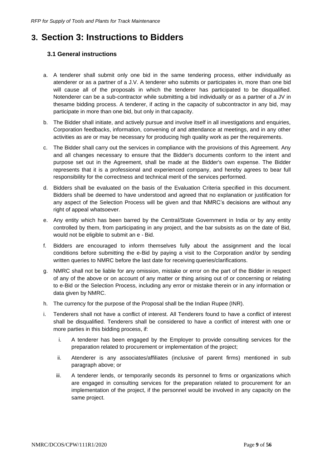# <span id="page-9-1"></span><span id="page-9-0"></span>**3. Section 3: Instructions to Bidders**

# **3.1 General instructions**

- a. A tenderer shall submit only one bid in the same tendering process, either individually as atenderer or as a partner of a J.V. A tenderer who submits or participates in, more than one bid will cause all of the proposals in which the tenderer has participated to be disqualified. Notenderer can be a sub-contractor while submitting a bid individually or as a partner of a JV in thesame bidding process. A tenderer, if acting in the capacity of subcontractor in any bid, may participate in more than one bid, but only in that capacity.
- b. The Bidder shall initiate, and actively pursue and involve itself in all investigations and enquiries, Corporation feedbacks, information, convening of and attendance at meetings, and in any other activities as are or may be necessary for producing high quality work as per the requirements.
- c. The Bidder shall carry out the services in compliance with the provisions of this Agreement. Any and all changes necessary to ensure that the Bidder's documents conform to the intent and purpose set out in the Agreement, shall be made at the Bidder's own expense. The Bidder represents that it is a professional and experienced company, and hereby agrees to bear full responsibility for the correctness and technical merit of the services performed.
- d. Bidders shall be evaluated on the basis of the Evaluation Criteria specified in this document. Bidders shall be deemed to have understood and agreed that no explanation or justification for any aspect of the Selection Process will be given and that NMRC's decisions are without any right of appeal whatsoever.
- e. Any entity which has been barred by the Central/State Government in India or by any entity controlled by them, from participating in any project, and the bar subsists as on the date of Bid, would not be eligible to submit an e - Bid.
- f. Bidders are encouraged to inform themselves fully about the assignment and the local conditions before submitting the e-Bid by paying a visit to the Corporation and/or by sending written queries to NMRC before the last date for receiving queries/clarifications.
- g. NMRC shall not be liable for any omission, mistake or error on the part of the Bidder in respect of any of the above or on account of any matter or thing arising out of or concerning or relating to e-Bid or the Selection Process, including any error or mistake therein or in any information or data given by NMRC.
- h. The currency for the purpose of the Proposal shall be the Indian Rupee (INR).
- i. Tenderers shall not have a conflict of interest. All Tenderers found to have a conflict of interest shall be disqualified. Tenderers shall be considered to have a conflict of interest with one or more parties in this bidding process, if:
	- i. A tenderer has been engaged by the Employer to provide consulting services for the preparation related to procurement or implementation of the project;
	- ii. Atenderer is any associates/affiliates (inclusive of parent firms) mentioned in sub paragraph above; or
	- iii. A tenderer lends, or temporarily seconds its personnel to firms or organizations which are engaged in consulting services for the preparation related to procurement for an implementation of the project, if the personnel would be involved in any capacity on the same project.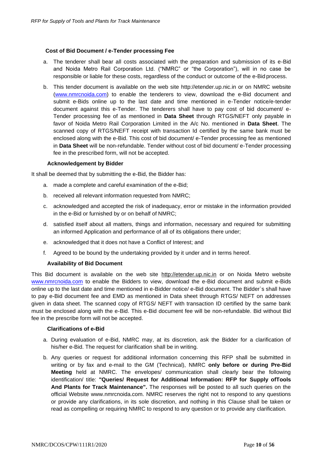#### **Cost of Bid Document / e-Tender processing Fee**

- a. The tenderer shall bear all costs associated with the preparation and submission of its e-Bid and Noida Metro Rail Corporation Ltd. ("NMRC" or "the Corporation"), will in no case be responsible or liable for these costs, regardless of the conduct or outcome of the e-Bid process.
- b. This tender document is available on the web site [http://etender.up.nic.in o](http://etender.up.nic.in/)r on NMRC website (www.nmrcnoida.com) to enable the tenderers to view, download the e-Bid document and submit e-Bids online up to the last date and time mentioned in e-Tender notice/e-tender document against this e-Tender. The tenderers shall have to pay cost of bid document/ e-Tender processing fee of as mentioned in **Data Sheet** through RTGS/NEFT only payable in favor of Noida Metro Rail Corporation Limited in the A/c No. mentioned in **Data Sheet**. The scanned copy of RTGS/NEFT receipt with transaction Id certified by the same bank must be enclosed along with the e-Bid. This cost of bid document/ e-Tender processing fee as mentioned in **Data Sheet** will be non-refundable. Tender without cost of bid document/ e-Tender processing fee in the prescribed form, will not be accepted.

#### **Acknowledgement by Bidder**

It shall be deemed that by submitting the e-Bid, the Bidder has:

- a. made a complete and careful examination of the e-Bid;
- b. received all relevant information requested from NMRC;
- c. acknowledged and accepted the risk of inadequacy, error or mistake in the information provided in the e-Bid or furnished by or on behalf of NMRC;
- d. satisfied itself about all matters, things and information, necessary and required for submitting an informed Application and performance of all of its obligations there under;
- e. acknowledged that it does not have a Conflict of Interest; and
- f. Agreed to be bound by the undertaking provided by it under and in terms hereof.

#### **Availability of Bid Document**

This Bid document is available on the web site [http://etender.up.nic.in](http://etender.up.nic.in/) or on Noida Metro website [www.nmrcnoida.com](http://www.nmrcnoida.com/) to enable the Bidders to view, download the e-Bid document and submit e-Bids online up to the last date and time mentioned in e-Bidder notice/ e-Bid document. The Bidder`s shall have to pay e-Bid document fee and EMD as mentioned in Data sheet through RTGS/ NEFT on addresses given in data sheet. The scanned copy of RTGS/ NEFT with transaction ID certified by the same bank must be enclosed along with the e-Bid. This e-Bid document fee will be non-refundable. Bid without Bid fee in the prescribe form will not be accepted.

#### **Clarifications of e-Bid**

- a. During evaluation of e-Bid, NMRC may, at its discretion, ask the Bidder for a clarification of his/her e-Bid. The request for clarification shall be in writing.
- b. Any queries or request for additional information concerning this RFP shall be submitted in writing or by fax and e-mail to the GM (Technical), NMRC **only before or during Pre-Bid Meeting** held at NMRC. The envelopes/ communication shall clearly bear the following identification/ title: **"Queries/ Request for Additional Information: RFP for Supply ofTools And Plants for Track Maintenance".** The responses will be posted to all such queries on the official Website [www.nmrcnoida.com. N](http://www.nmrcnoida.com/)MRC reserves the right not to respond to any questions or provide any clarifications, in its sole discretion, and nothing in this Clause shall be taken or read as compelling or requiring NMRC to respond to any question or to provide any clarification.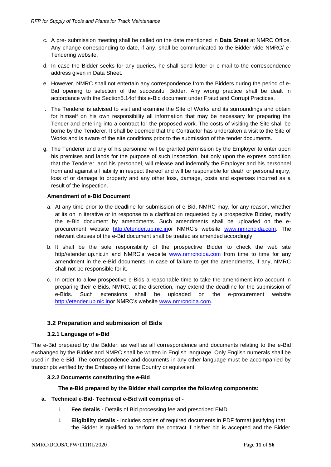- c. A pre- submission meeting shall be called on the date mentioned in **Data Sheet** at NMRC Office. Any change corresponding to date, if any, shall be communicated to the Bidder vide NMRC/ e-Tendering website.
- d. In case the Bidder seeks for any queries, he shall send letter or e-mail to the correspondence address given in Data Sheet.
- e. However, NMRC shall not entertain any correspondence from the Bidders during the period of e-Bid opening to selection of the successful Bidder. Any wrong practice shall be dealt in accordance with the Section5.14of this e-Bid document under Fraud and Corrupt Practices.
- f. The Tenderer is advised to visit and examine the Site of Works and its surroundings and obtain for himself on his own responsibility all information that may be necessary for preparing the Tender and entering into a contract for the proposed work. The costs of visiting the Site shall be borne by the Tenderer. It shall be deemed that the Contractor has undertaken a visit to the Site of Works and is aware of the site conditions prior to the submission of the tender documents.
- g. The Tenderer and any of his personnel will be granted permission by the Employer to enter upon his premises and lands for the purpose of such inspection, but only upon the express condition that the Tenderer, and his personnel, will release and indemnify the Employer and his personnel from and against all liability in respect thereof and will be responsible for death or personal injury, loss of or damage to property and any other loss, damage, costs and expenses incurred as a result of the inspection.

#### **Amendment of e-Bid Document**

- a. At any time prior to the deadline for submission of e-Bid, NMRC may, for any reason, whether at its on in iterative or in response to a clarification requested by a prospective Bidder, modify the e-Bid document by amendments. Such amendments shall be uploaded on the eprocurement website [http://etender.up.nic.inor](http://etender.up.nic.inor/) NMRC's website [www.nmrcnoida.com.](http://www.nmrcnoida.com/) The relevant clauses of the e-Bid document shall be treated as amended accordingly.
- b. It shall be the sole responsibility of the prospective Bidder to check the web site http//etender.up.nic.in and NMRC's website [www.nmrcnoida.com](http://www.nmrcnoida.com/) from time to time for any amendment in the e-Bid documents. In case of failure to get the amendments, if any, NMRC shall not be responsible for it.
- c. In order to allow prospective e-Bids a reasonable time to take the amendment into account in preparing their e-Bids, NMRC, at the discretion, may extend the deadline for the submission of e-Bids. Such extensions shall be uploaded on the e-procurement websit[e](http://etender.up.nic.inor/) [http://etender.up.nic.inor N](http://etender.up.nic.inor/)MRC's website [www.nmrcnoida.com.](http://www.nmrcnoida.com/)

## **3.2 Preparation and submission of Bids**

#### **3.2.1 Language of e-Bid**

<span id="page-11-0"></span>The e-Bid prepared by the Bidder, as well as all correspondence and documents relating to the e-Bid exchanged by the Bidder and NMRC shall be written in English language. Only English numerals shall be used in the e-Bid. The correspondence and documents in any other language must be accompanied by transcripts verified by the Embassy of Home Country or equivalent.

#### **3.2.2 Documents constituting the e-Bid**

#### **The e-Bid prepared by the Bidder shall comprise the following components:**

#### **a. Technical e-Bid- Technical e-Bid will comprise of -**

- i. **Fee details -** Details of Bid processing fee and prescribed EMD
- ii. **Eligibility details -** Includes copies of required documents in PDF format justifying that the Bidder is qualified to perform the contract if his/her bid is accepted and the Bidder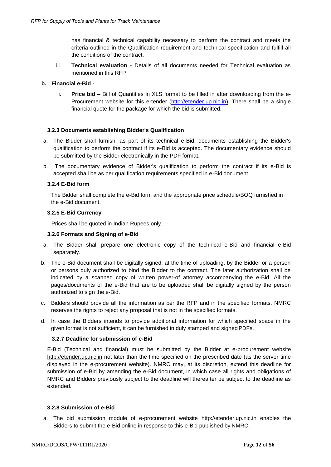has financial & technical capability necessary to perform the contract and meets the criteria outlined in the Qualification requirement and technical specification and fulfill all the conditions of the contract.

iii. **Technical evaluation -** Details of all documents needed for Technical evaluation as mentioned in this RFP

#### **b. Financial e-Bid -**

i. **Price bid –** Bill of Quantities in XLS format to be filled in after downloading from the e-Procurement website for this e-tender (http://etender.up.nic.in). There shall be a single financial quote for the package for which the bid is submitted.

#### **3.2.3 Documents establishing Bidder's Qualification**

- a. The Bidder shall furnish, as part of its technical e-Bid, documents establishing the Bidder's qualification to perform the contract if its e-Bid is accepted. The documentary evidence should be submitted by the Bidder electronically in the PDF format.
- b. The documentary evidence of Bidder's qualification to perform the contract if its e-Bid is accepted shall be as per qualification requirements specified in e-Bid document.

#### **3.2.4 E-Bid form**

The Bidder shall complete the e-Bid form and the appropriate price schedule/BOQ furnished in the e-Bid document.

#### **3.2.5 E-Bid Currency**

Prices shall be quoted in Indian Rupees only.

#### **3.2.6 Formats and Signing of e-Bid**

- a. The Bidder shall prepare one electronic copy of the technical e-Bid and financial e-Bid separately.
- b. The e-Bid document shall be digitally signed, at the time of uploading, by the Bidder or a person or persons duly authorized to bind the Bidder to the contract. The later authorization shall be indicated by a scanned copy of written power-of attorney accompanying the e-Bid. All the pages/documents of the e-Bid that are to be uploaded shall be digitally signed by the person authorized to sign the e-Bid.
- c. Bidders should provide all the information as per the RFP and in the specified formats. NMRC reserves the rights to reject any proposal that is not in the specified formats.
- d. In case the Bidders intends to provide additional information for which specified space in the given format is not sufficient, it can be furnished in duly stamped and signedPDFs.

#### **3.2.7 Deadline for submission of e-Bid**

E-Bid (Technical and financial) must be submitted by the Bidder at e-procurement websit[e](http://etender.up.nic.in/) [http://etender.up.nic.in](http://etender.up.nic.in/) not later than the time specified on the prescribed date (as the server time displayed in the e-procurement website). NMRC may, at its discretion, extend this deadline for submission of e-Bid by amending the e-Bid document, in which case all rights and obligations of NMRC and Bidders previously subject to the deadline will thereafter be subject to the deadline as extended.

#### **3.2.8 Submission of e-Bid**

a. The bid submission module of e-procurement website [http://etender.up.nic.in](http://etender.up.nic.in/) enables the Bidders to submit the e-Bid online in response to this e-Bid published by NMRC.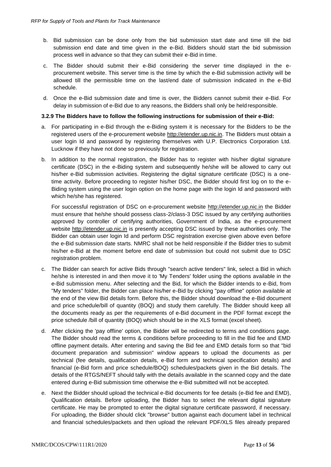- b. Bid submission can be done only from the bid submission start date and time till the bid submission end date and time given in the e-Bid. Bidders should start the bid submission process well in advance so that they can submit their e-Bid in time.
- c. The Bidder should submit their e-Bid considering the server time displayed in the eprocurement website. This server time is the time by which the e-Bid submission activity will be allowed till the permissible time on the last/end date of submission indicated in the e-Bid schedule.
- d. Once the e-Bid submission date and time is over, the Bidders cannot submit their e-Bid. For delay in submission of e-Bid due to any reasons, the Bidders shall only be held responsible.

#### **3.2.9 The Bidders have to follow the following instructions for submission of their e-Bid:**

- a. For participating in e-Bid through the e-Biding system it is necessary for the Bidders to be the registered users of the e-procurement website [http://etender.up.nic.in. T](http://etender.up.nic.in/)he Bidders must obtain a user login Id and password by registering themselves with U.P. Electronics Corporation Ltd. Lucknow if they have not done so previously for registration.
- b. In addition to the normal registration, the Bidder has to register with his/her digital signature certificate (DSC) in the e-Biding system and subsequently he/she will be allowed to carry out his/her e-Bid submission activities. Registering the digital signature certificate (DSC) is a onetime activity. Before proceeding to register his/her DSC, the Bidder should first log on to the e-Biding system using the user login option on the home page with the login Id and password with which he/she has registered.

For successful registration of DSC on e-procurement website [http://etender.up.nic.in](http://etender.up.nic.in/) the Bidder must ensure that he/she should possess class-2/class-3 DSC issued by any certifying authorities approved by controller of certifying authorities, Government of India, as the e-procurement website [http://etender.up.nic.in](http://etender.up.nic.in/) is presently accepting DSC issued by these authorities only. The Bidder can obtain user login Id and perform DSC registration exercise given above even before the e-Bid submission date starts. NMRC shall not be held responsible if the Bidder tries to submit his/her e-Bid at the moment before end date of submission but could not submit due to DSC registration problem.

- c. The Bidder can search for active Bids through "search active tenders" link, select a Bid in which he/she is interested in and then move it to 'My Tenders' folder using the options available in the e-Bid submission menu. After selecting and the Bid, for which the Bidder intends to e-Bid, from "My tenders" folder, the Bidder can place his/her e-Bid by clicking "pay offline" option available at the end of the view Bid details form. Before this, the Bidder should download the e-Bid document and price schedule/bill of quantity (BOQ) and study them carefully. The Bidder should keep all the documents ready as per the requirements of e-Bid document in the PDF format except the price schedule /bill of quantity (BOQ) which should be in the XLS format (excel sheet).
- d. After clicking the 'pay offline' option, the Bidder will be redirected to terms and conditions page. The Bidder should read the terms & conditions before proceeding to fill in the Bid fee and EMD offline payment details. After entering and saving the Bid fee and EMD details form so that "bid document preparation and submission" window appears to upload the documents as per technical (fee details, qualification details, e-Bid form and technical specification details) and financial (e-Bid form and price schedule/BOQ) schedules/packets given in the Bid details. The details of the RTGS/NEFT should tally with the details available in the scanned copy and the date entered during e-Bid submission time otherwise the e-Bid submitted will not be accepted.
- e. Next the Bidder should upload the technical e-Bid documents for fee details (e-Bid fee and EMD), Qualification details. Before uploading, the Bidder has to select the relevant digital signature certificate. He may be prompted to enter the digital signature certificate password, if necessary. For uploading, the Bidder should click "browse" button against each document label in technical and financial schedules/packets and then upload the relevant PDF/XLS files already prepared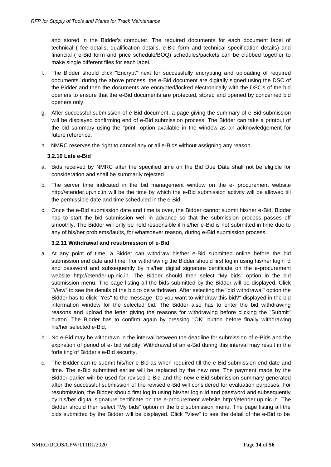and stored in the Bidder's computer. The required documents for each document label of technical ( fee details, qualification details, e-Bid form and technical specification details) and financial ( e-Bid form and price schedule/BOQ) schedules/packets can be clubbed together to make single different files for each label.

- f. The Bidder should click "Encrypt" next for successfully encrypting and uploading of required documents. during the above process, the e-Bid document are digitally signed using the DSC of the Bidder and then the documents are encrypted/locked electronically with the DSC's of the bid openers to ensure that the e-Bid documents are protected, stored and opened by concerned bid openers only.
- g. After successful submission of e-Bid document, a page giving the summary of e-Bid submission will be displayed confirming end of e-Bid submission process. The Bidder can take a printout of the bid summary using the "print" option available in the window as an acknowledgement for future reference.
- h. NMRC reserves the right to cancel any or all e-Bids without assigning any reason.

#### **3.2.10 Late e-Bid**

- a. Bids received by NMRC after the specified time on the Bid Due Date shall not be eligible for consideration and shall be summarily rejected.
- b. The server time indicated in the bid management window on the e- procurement websit[e](http://etender.up.nic.in/) [http://etender.up.nic.in w](http://etender.up.nic.in/)ill be the time by which the e-Bid submission activity will be allowed till the permissible date and time scheduled in the e-Bid.
- c. Once the e-Bid submission date and time is over, the Bidder cannot submit his/her e-Bid. Bidder has to start the bid submission well in advance so that the submission process passes off smoothly. The Bidder will only be held responsible if his/her e-Bid is not submitted in time due to any of his/her problems/faults, for whatsoever reason, during e-Bid submission process.

#### **3.2.11 Withdrawal and resubmission of e-Bid**

- a. At any point of time, a Bidder can withdraw his/her e-Bid submitted online before the bid submission end date and time. For withdrawing the Bidder should first log in using his/her login id and password and subsequently by his/her digital signature certificate on the e-procurement website [http://etender.up.nic.in.](http://etender.up.nic.in/) The Bidder should then select "My bids" option in the bid submission menu. The page listing all the bids submitted by the Bidder will be displayed. Click "View" to see the details of the bid to be withdrawn. After selecting the "bid withdrawal" option the Bidder has to click "Yes" to the message "Do you want to withdraw this bid?" displayed in the bid information window for the selected bid. The Bidder also has to enter the bid withdrawing reasons and upload the letter giving the reasons for withdrawing before clicking the "Submit" button. The Bidder has to confirm again by pressing "OK" button before finally withdrawing his/her selected e-Bid.
- b. No e-Bid may be withdrawn in the interval between the deadline for submission of e-Bids and the expiration of period of e- bid validity. Withdrawal of an e-Bid during this interval may result in the forfeiting of Bidder's e-Bid security.
- c. The Bidder can re-submit his/her e-Bid as when required till the e-Bid submission end date and time. The e-Bid submitted earlier will be replaced by the new one. The payment made by the Bidder earlier will be used for revised e-Bid and the new e-Bid submission summary generated after the successful submission of the revised e-Bid will considered for evaluation purposes. For resubmission, the Bidder should first log in using his/her login Id and password and subsequently by his/her digital signature certificate on the e-procurement website [http://etender.up.nic.in. T](http://etender.up.nic.in/)he Bidder should then select "My bids" option in the bid submission menu. The page listing all the bids submitted by the Bidder will be displayed. Click "View" to see the detail of the e-Bid to be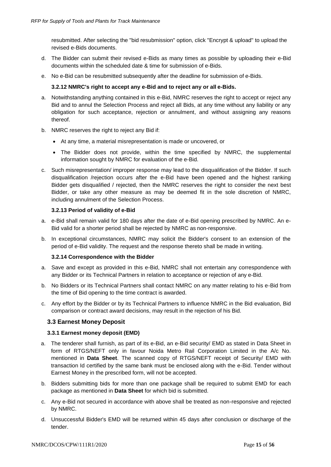resubmitted. After selecting the "bid resubmission" option, click "Encrypt & upload" to upload the revised e-Bids documents.

- d. The Bidder can submit their revised e-Bids as many times as possible by uploading their e-Bid documents within the scheduled date & time for submission of e-Bids.
- e. No e-Bid can be resubmitted subsequently after the deadline for submission of e-Bids.

#### **3.2.12 NMRC's right to accept any e-Bid and to reject any or all e-Bids.**

- a. Notwithstanding anything contained in this e-Bid, NMRC reserves the right to accept or reject any Bid and to annul the Selection Process and reject all Bids, at any time without any liability or any obligation for such acceptance, rejection or annulment, and without assigning any reasons thereof.
- b. NMRC reserves the right to reject any Bid if:
	- At any time, a material misrepresentation is made or uncovered, or
	- The Bidder does not provide, within the time specified by NMRC, the supplemental information sought by NMRC for evaluation of the e-Bid.
- c. Such misrepresentation/ improper response may lead to the disqualification of the Bidder. If such disqualification /rejection occurs after the e-Bid have been opened and the highest ranking Bidder gets disqualified / rejected, then the NMRC reserves the right to consider the next best Bidder, or take any other measure as may be deemed fit in the sole discretion of NMRC, including annulment of the Selection Process.

#### **3.2.13 Period of validity of e-Bid**

- a. e-Bid shall remain valid for 180 days after the date of e-Bid opening prescribed by NMRC. An e-Bid valid for a shorter period shall be rejected by NMRC as non-responsive.
- b. In exceptional circumstances, NMRC may solicit the Bidder's consent to an extension of the period of e-Bid validity. The request and the response thereto shall be made in writing.

#### **3.2.14 Correspondence with the Bidder**

- a. Save and except as provided in this e-Bid, NMRC shall not entertain any correspondence with any Bidder or its Technical Partners in relation to acceptance or rejection of any e-Bid.
- b. No Bidders or its Technical Partners shall contact NMRC on any matter relating to his e-Bid from the time of Bid opening to the time contract is awarded.
- <span id="page-15-0"></span>c. Any effort by the Bidder or by its Technical Partners to influence NMRC in the Bid evaluation, Bid comparison or contract award decisions, may result in the rejection of his Bid.

#### **3.3 Earnest Money Deposit**

#### **3.3.1 Earnest money deposit (EMD)**

- a. The tenderer shall furnish, as part of its e-Bid, an e-Bid security/ EMD as stated in Data Sheet in form of RTGS/NEFT only in favour Noida Metro Rail Corporation Limited in the A/c No. mentioned in **Data Sheet**. The scanned copy of RTGS/NEFT receipt of Security/ EMD with transaction Id certified by the same bank must be enclosed along with the e-Bid. Tender without Earnest Money in the prescribed form, will not be accepted.
- b. Bidders submitting bids for more than one package shall be required to submit EMD for each package as mentioned in **Data Sheet** for which bid is submitted.
- c. Any e-Bid not secured in accordance with above shall be treated as non-responsive and rejected by NMRC.
- d. Unsuccessful Bidder's EMD will be returned within 45 days after conclusion or discharge of the tender.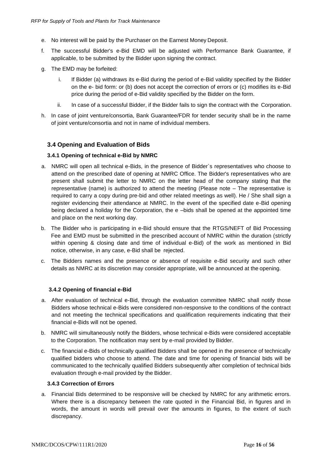- e. No interest will be paid by the Purchaser on the Earnest Money Deposit.
- f. The successful Bidder's e-Bid EMD will be adjusted with Performance Bank Guarantee, if applicable, to be submitted by the Bidder upon signing the contract.
- g. The EMD may be forfeited:
	- i. If Bidder (a) withdraws its e-Bid during the period of e-Bid validity specified by the Bidder on the e- bid form: or (b) does not accept the correction of errors or (c) modifies its e-Bid price during the period of e-Bid validity specified by the Bidder on the form.
	- ii. In case of a successful Bidder, if the Bidder fails to sign the contract with the Corporation.
- h. In case of joint venture/consortia, Bank Guarantee/FDR for tender security shall be in the name of joint venture/consortia and not in name of individual members.

# <span id="page-16-0"></span>**3.4 Opening and Evaluation of Bids**

#### **3.4.1 Opening of technical e-Bid by NMRC**

- a. NMRC will open all technical e-Bids, in the presence of Bidder`s representatives who choose to attend on the prescribed date of opening at NMRC Office. The Bidder's representatives who are present shall submit the letter to NMRC on the letter head of the company stating that the representative (name) is authorized to attend the meeting (Please note – The representative is required to carry a copy during pre-bid and other related meetings as well). He / She shall sign a register evidencing their attendance at NMRC. In the event of the specified date e-Bid opening being declared a holiday for the Corporation, the e –bids shall be opened at the appointed time and place on the next working day.
- b. The Bidder who is participating in e-Bid should ensure that the RTGS/NEFT of Bid Processing Fee and EMD must be submitted in the prescribed account of NMRC within the duration (strictly within opening & closing date and time of individual e-Bid) of the work as mentioned in Bid notice, otherwise, in any case, e-Bid shall be rejected.
- c. The Bidders names and the presence or absence of requisite e-Bid security and such other details as NMRC at its discretion may consider appropriate, will be announced at the opening.

#### **3.4.2 Opening of financial e-Bid**

- a. After evaluation of technical e-Bid, through the evaluation committee NMRC shall notify those Bidders whose technical e-Bids were considered non-responsive to the conditions of the contract and not meeting the technical specifications and qualification requirements indicating that their financial e-Bids will not be opened.
- b. NMRC will simultaneously notify the Bidders, whose technical e-Bids were considered acceptable to the Corporation. The notification may sent by e-mail provided by Bidder.
- c. The financial e-Bids of technically qualified Bidders shall be opened in the presence of technically qualified bidders who choose to attend. The date and time for opening of financial bids will be communicated to the technically qualified Bidders subsequently after completion of technical bids evaluation through e-mail provided by the Bidder.

#### **3.4.3 Correction of Errors**

a. Financial Bids determined to be responsive will be checked by NMRC for any arithmetic errors. Where there is a discrepancy between the rate quoted in the Financial Bid, in figures and in words, the amount in words will prevail over the amounts in figures, to the extent of such discrepancy.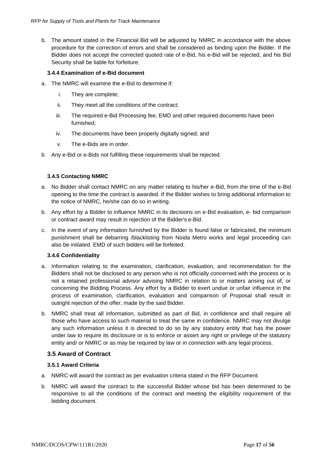b. The amount stated in the Financial Bid will be adjusted by NMRC in accordance with the above procedure for the correction of errors and shall be considered as binding upon the Bidder. If the Bidder does not accept the corrected quoted rate of e-Bid, his e-Bid will be rejected, and his Bid Security shall be liable for forfeiture.

#### **3.4.4 Examination of e-Bid document**

- a. The NMRC will examine the e-Bid to determine if:
	- i. They are complete;
	- ii. They meet all the conditions of the contract;
	- iii. The required e-Bid Processing fee, EMD and other required documents have been furnished;
	- iv. The documents have been properly digitally signed; and
	- v. The e-Bids are in order.
- b. Any e-Bid or e-Bids not fulfilling these requirements shall be rejected.

#### **3.4.5 Contacting NMRC**

- a. No Bidder shall contact NMRC on any matter relating to his/her e-Bid, from the time of the e-Bid opening to the time the contract is awarded. If the Bidder wishes to bring additional information to the notice of NMRC, he/she can do so in writing.
- b. Any effort by a Bidder to influence NMRC in its decisions on e-Bid evaluation, e- bid comparison or contract award may result in rejection of the Bidder's e-Bid.
- c. In the event of any information furnished by the Bidder is found false or fabricated, the minimum punishment shall be debarring /blacklisting from Noida Metro works and legal proceeding can also be initiated. EMD of such bidders will be forfeited.

#### **3.4.6 Confidentiality**

- a. Information relating to the examination, clarification, evaluation, and recommendation for the Bidders shall not be disclosed to any person who is not officially concerned with the process or is not a retained professional advisor advising NMRC in relation to or matters arising out of, or concerning the Bidding Process. Any effort by a Bidder to exert undue or unfair influence in the process of examination, clarification, evaluation and comparison of Proposal shall result in outright rejection of the offer, made by the said Bidder.
- b. NMRC shall treat all information, submitted as part of Bid, in confidence and shall require all those who have access to such material to treat the same in confidence. NMRC may not divulge any such information unless it is directed to do so by any statutory entity that has the power under law to require its disclosure or is to enforce or assert any right or privilege of the statutory entity and/ or NMRC or as may be required by law or in connection with any legal process.

## <span id="page-17-0"></span>**3.5 Award of Contract**

#### **3.5.1 Award Criteria**

- a. NMRC will award the contract as per evaluation criteria stated in the RFP Document.
- b. NMRC will award the contract to the successful Bidder whose bid has been determined to be responsive to all the conditions of the contract and meeting the eligibility requirement of the bidding document.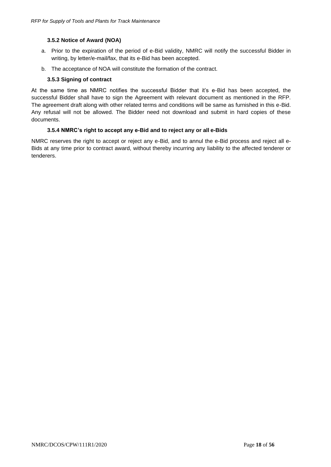#### **3.5.2 Notice of Award (NOA)**

- a. Prior to the expiration of the period of e-Bid validity, NMRC will notify the successful Bidder in writing, by letter/e-mail/fax, that its e-Bid has been accepted.
- b. The acceptance of NOA will constitute the formation of the contract.

#### **3.5.3 Signing of contract**

At the same time as NMRC notifies the successful Bidder that it's e-Bid has been accepted, the successful Bidder shall have to sign the Agreement with relevant document as mentioned in the RFP. The agreement draft along with other related terms and conditions will be same as furnished in this e-Bid. Any refusal will not be allowed. The Bidder need not download and submit in hard copies of these documents.

#### **3.5.4 NMRC's right to accept any e-Bid and to reject any or all e-Bids**

NMRC reserves the right to accept or reject any e-Bid, and to annul the e-Bid process and reject all e-Bids at any time prior to contract award, without thereby incurring any liability to the affected tenderer or tenderers.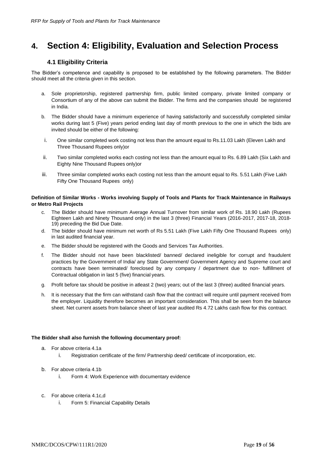# <span id="page-19-1"></span><span id="page-19-0"></span>**4. Section 4: Eligibility, Evaluation and Selection Process**

### **4.1 Eligibility Criteria**

The Bidder's competence and capability is proposed to be established by the following parameters. The Bidder should meet all the criteria given in this section.

- a. Sole proprietorship, registered partnership firm, public limited company, private limited company or Consortium of any of the above can submit the Bidder. The firms and the companies should be registered in India.
- b. The Bidder should have a minimum experience of having satisfactorily and successfully completed similar works during last 5 (Five) years period ending last day of month previous to the one in which the bids are invited should be either of the following:
- i. One similar completed work costing not less than the amount equal to Rs.11.03 Lakh (Eleven Lakh and Three Thousand Rupees only)or
- ii. Two similar completed works each costing not less than the amount equal to Rs. 6.89 Lakh (Six Lakh and Eighty Nine Thousand Rupees only)or
- iii. Three similar completed works each costing not less than the amount equal to Rs. 5.51 Lakh (Five Lakh Fifty One Thousand Rupees only)

#### **Definition of Similar Works - Works involving Supply of Tools and Plants for Track Maintenance in Railways or Metro Rail Projects**

- c. The Bidder should have minimum Average Annual Turnover from similar work of Rs. 18.90 Lakh (Rupees Eighteen Lakh and Ninety Thousand only) in the last 3 (three) Financial Years (2016-2017, 2017-18, 2018- 19) preceding the Bid Due Date.
- d. The bidder should have minimum net worth of Rs 5.51 Lakh (Five Lakh Fifty One Thousand Rupees only) in last audited financial year.
- e. The Bidder should be registered with the Goods and Services Tax Authorities.
- f. The Bidder should not have been blacklisted/ banned/ declared ineligible for corrupt and fraudulent practices by the Government of India/ any State Government/ Government Agency and Supreme court and contracts have been terminated/ foreclosed by any company / department due to non- fulfillment of Contractual obligation in last 5 (five) financial years.
- g. Profit before tax should be positive in atleast 2 (two) years; out of the last 3 (three) audited financial years.
- h. It is necessary that the firm can withstand cash flow that the contract will require until payment received from the employer. Liquidity therefore becomes an important consideration. This shall be seen from the balance sheet. Net current assets from balance sheet of last year audited Rs 4.72 Lakhs cash flow for this contract.

#### **The Bidder shall also furnish the following documentary proof:**

- a. For above criteria 4.1a
	- i. Registration certificate of the firm/ Partnership deed/ certificate of incorporation, etc.
- b. For above criteria 4.1b
	- i. Form 4: Work Experience with documentary evidence
- c. For above criteria 4.1c,d
	- i. Form 5: Financial Capability Details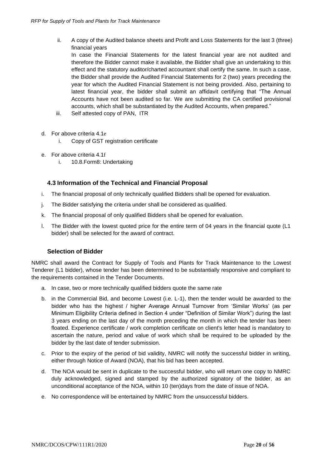ii. A copy of the Audited balance sheets and Profit and Loss Statements for the last 3 (three) financial years

In case the Financial Statements for the latest financial year are not audited and therefore the Bidder cannot make it available, the Bidder shall give an undertaking to this effect and the statutory auditor/charted accountant shall certify the same. In such a case, the Bidder shall provide the Audited Financial Statements for 2 (two) years preceding the year for which the Audited Financial Statement is not being provided. Also, pertaining to latest financial year, the bidder shall submit an affidavit certifying that "The Annual Accounts have not been audited so far. We are submitting the CA certified provisional accounts, which shall be substantiated by the Audited Accounts, when prepared."

- iii. Self attested copy of PAN, ITR
- d. For above criteria 4.1e
	- i. Copy of GST registration certificate
- e. For above criteria 4.1f
	- i. 10.8.Form8: Undertaking

#### **4.3 Information of the Technical and Financial Proposal**

- <span id="page-20-0"></span>i. The financial proposal of only technically qualified Bidders shall be opened for evaluation.
- j. The Bidder satisfying the criteria under shall be considered as qualified.
- k. The financial proposal of only qualified Bidders shall be opened for evaluation.
- l. The Bidder with the lowest quoted price for the entire term of 04 years in the financial quote (L1 bidder) shall be selected for the award of contract.

#### **Selection of Bidder**

NMRC shall award the Contract for Supply of Tools and Plants for Track Maintenance to the Lowest Tenderer (L1 bidder), whose tender has been determined to be substantially responsive and compliant to the requirements contained in the Tender Documents.

- a. In case, two or more technically qualified bidders quote the same rate
- b. in the Commercial Bid, and become Lowest (i.e. L-1), then the tender would be awarded to the bidder who has the highest / higher Average Annual Turnover from 'Similar Works' (as per Minimum Eligibility Criteria defined in Section 4 under "Definition of Similar Work") during the last 3 years ending on the last day of the month preceding the month in which the tender has been floated. Experience certificate / work completion certificate on client's letter head is mandatory to ascertain the nature, period and value of work which shall be required to be uploaded by the bidder by the last date of tender submission.
- c. Prior to the expiry of the period of bid validity, NMRC will notify the successful bidder in writing, either through Notice of Award (NOA), that his bid has been accepted.
- d. The NOA would be sent in duplicate to the successful bidder, who will return one copy to NMRC duly acknowledged, signed and stamped by the authorized signatory of the bidder, as an unconditional acceptance of the NOA, within 10 (ten)days from the date of issue of NOA.
- e. No correspondence will be entertained by NMRC from the unsuccessful bidders.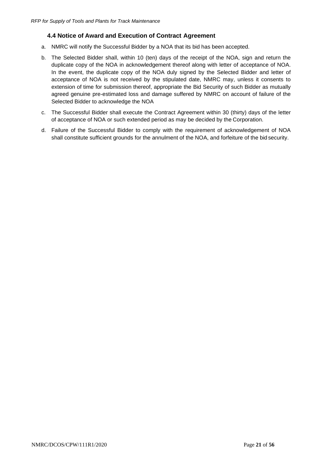# **4.4 Notice of Award and Execution of Contract Agreement**

- <span id="page-21-0"></span>a. NMRC will notify the Successful Bidder by a NOA that its bid has been accepted.
- b. The Selected Bidder shall, within 10 (ten) days of the receipt of the NOA, sign and return the duplicate copy of the NOA in acknowledgement thereof along with letter of acceptance of NOA. In the event, the duplicate copy of the NOA duly signed by the Selected Bidder and letter of acceptance of NOA is not received by the stipulated date, NMRC may, unless it consents to extension of time for submission thereof, appropriate the Bid Security of such Bidder as mutually agreed genuine pre-estimated loss and damage suffered by NMRC on account of failure of the Selected Bidder to acknowledge the NOA
- c. The Successful Bidder shall execute the Contract Agreement within 30 (thirty) days of the letter of acceptance of NOA or such extended period as may be decided by the Corporation.
- d. Failure of the Successful Bidder to comply with the requirement of acknowledgement of NOA shall constitute sufficient grounds for the annulment of the NOA, and forfeiture of the bid security.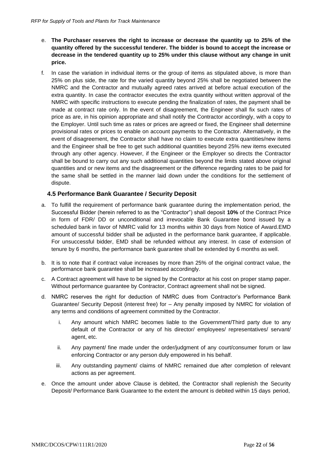- e. **The Purchaser reserves the right to increase or decrease the quantity up to 25% of the quantity offered by the successful tenderer. The bidder is bound to accept the increase or decrease in the tendered quantity up to 25% under this clause without any change in unit price.**
- f. In case the variation in individual items or the group of items as stipulated above, is more than 25% on plus side, the rate for the varied quantity beyond 25% shall be negotiated between the NMRC and the Contractor and mutually agreed rates arrived at before actual execution of the extra quantity. In case the contractor executes the extra quantity without written approval of the NMRC with specific instructions to execute pending the finalization of rates, the payment shall be made at contract rate only. In the event of disagreement, the Engineer shall fix such rates of price as are, in his opinion appropriate and shall notify the Contractor accordingly, with a copy to the Employer. Until such time as rates or prices are agreed or fixed, the Engineer shall determine provisional rates or prices to enable on account payments to the Contractor. Alternatively, in the event of disagreement, the Contractor shall have no claim to execute extra quantities/new items and the Engineer shall be free to get such additional quantities beyond 25% new items executed through any other agency. However, if the Engineer or the Employer so directs the Contractor shall be bound to carry out any such additional quantities beyond the limits stated above original quantities and or new items and the disagreement or the difference regarding rates to be paid for the same shall be settled in the manner laid down under the conditions for the settlement of dispute.

## **4.5 Performance Bank Guarantee / Security Deposit**

- <span id="page-22-0"></span>a. To fulfill the requirement of performance bank guarantee during the implementation period, the Successful Bidder (herein referred to as the "Contractor") shall deposit **10%** of the Contract Price in form of FDR/ DD or unconditional and irrevocable Bank Guarantee bond issued by a scheduled bank in favor of NMRC valid for 13 months within 30 days from Notice of Award.EMD amount of successful bidder shall be adjusted in the performance bank guarantee, if applicable. For unsuccessful bidder, EMD shall be refunded without any interest. In case of extension of tenure by 6 months, the performance bank guarantee shall be extended by 6 months as well.
- b. It is to note that if contract value increases by more than 25% of the original contract value, the performance bank guarantee shall be increased accordingly.
- c. A Contract agreement will have to be signed by the Contractor at his cost on proper stamp paper. Without performance guarantee by Contractor, Contract agreement shall not be signed.
- d. NMRC reserves the right for deduction of NMRC dues from Contractor's Performance Bank Guarantee/ Security Deposit (interest free) for – Any penalty imposed by NMRC for violation of any terms and conditions of agreement committed by the Contractor.
	- i. Any amount which NMRC becomes liable to the Government/Third party due to any default of the Contractor or any of his director/ employees/ representatives/ servant/ agent, etc.
	- ii. Any payment/ fine made under the order/judgment of any court/consumer forum or law enforcing Contractor or any person duly empowered in his behalf.
	- iii. Any outstanding payment/ claims of NMRC remained due after completion of relevant actions as per agreement.
- e. Once the amount under above Clause is debited, the Contractor shall replenish the Security Deposit/ Performance Bank Guarantee to the extent the amount is debited within 15 days period,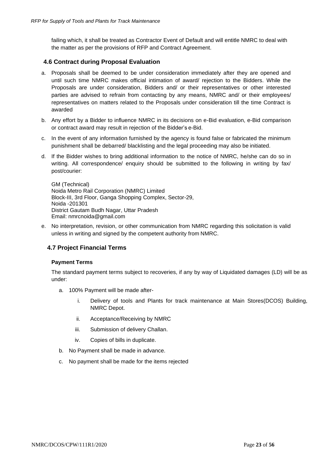failing which, it shall be treated as Contractor Event of Default and will entitle NMRC to deal with the matter as per the provisions of RFP and Contract Agreement.

### <span id="page-23-0"></span>**4.6 Contract during Proposal Evaluation**

- a. Proposals shall be deemed to be under consideration immediately after they are opened and until such time NMRC makes official intimation of award/ rejection to the Bidders. While the Proposals are under consideration, Bidders and/ or their representatives or other interested parties are advised to refrain from contacting by any means, NMRC and/ or their employees/ representatives on matters related to the Proposals under consideration till the time Contract is awarded
- b. Any effort by a Bidder to influence NMRC in its decisions on e-Bid evaluation, e-Bid comparison or contract award may result in rejection of the Bidder's e-Bid.
- c. In the event of any information furnished by the agency is found false or fabricated the minimum punishment shall be debarred/ blacklisting and the legal proceeding may also be initiated.
- d. If the Bidder wishes to bring additional information to the notice of NMRC, he/she can do so in writing. All correspondence/ enquiry should be submitted to the following in writing by fax/ post/courier:

GM (Technical) Noida Metro Rail Corporation (NMRC) Limited Block-III, 3rd Floor, Ganga Shopping Complex, Sector-29, Noida -201301 District Gautam Budh Nagar, Uttar Pradesh Email: [nmrcnoida@gmail.com](mailto:nmrcnoida@gmail.com)

e. No interpretation, revision, or other communication from NMRC regarding this solicitation is valid unless in writing and signed by the competent authority from NMRC.

## <span id="page-23-1"></span>**4.7 Project Financial Terms**

#### **Payment Terms**

The standard payment terms subject to recoveries, if any by way of Liquidated damages (LD) will be as under:

- a. 100% Payment will be made after
	- i. Delivery of tools and Plants for track maintenance at Main Stores(DCOS) Building, NMRC Depot.
	- ii. Acceptance/Receiving by NMRC
	- iii. Submission of delivery Challan.
	- iv. Copies of bills in duplicate.
- b. No Payment shall be made in advance.
- c. No payment shall be made for the items rejected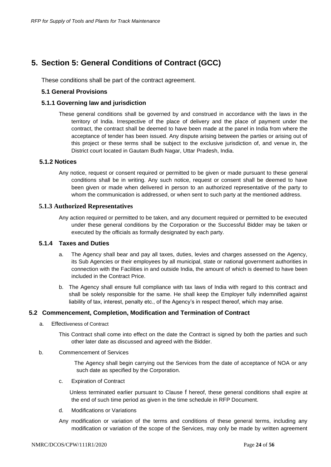# <span id="page-24-0"></span>**5. Section 5: General Conditions of Contract (GCC)**

These conditions shall be part of the contract agreement.

### **5.1 General Provisions**

#### **5.1.1 Governing law and jurisdiction**

These general conditions shall be governed by and construed in accordance with the laws in the territory of India. Irrespective of the place of delivery and the place of payment under the contract, the contract shall be deemed to have been made at the panel in India from where the acceptance of tender has been issued. Any dispute arising between the parties or arising out of this project or these terms shall be subject to the exclusive jurisdiction of, and venue in, the District court located in Gautam Budh Nagar, Uttar Pradesh, India.

#### **5.1.2 Notices**

Any notice, request or consent required or permitted to be given or made pursuant to these general conditions shall be in writing. Any such notice, request or consent shall be deemed to have been given or made when delivered in person to an authorized representative of the party to whom the communication is addressed, or when sent to such party at the mentioned address.

#### **5.1.3 Authorized Representatives**

Any action required or permitted to be taken, and any document required or permitted to be executed under these general conditions by the Corporation or the Successful Bidder may be taken or executed by the officials as formally designated by each party.

#### **5.1.4 Taxes and Duties**

- a. The Agency shall bear and pay all taxes, duties, levies and charges assessed on the Agency, its Sub Agencies or their employees by all municipal, state or national government authorities in connection with the Facilities in and outside India, the amount of which is deemed to have been included in the Contract Price.
- b. The Agency shall ensure full compliance with tax laws of India with regard to this contract and shall be solely responsible for the same. He shall keep the Employer fully indemnified against liability of tax, interest, penalty etc., of the Agency's in respect thereof, which may arise.

#### **5.2 Commencement, Completion, Modification and Termination of Contract**

- a. Effectiveness of Contract
	- This Contract shall come into effect on the date the Contract is signed by both the parties and such other later date as discussed and agreed with the Bidder.
- b. Commencement of Services

 The Agency shall begin carrying out the Services from the date of acceptance of NOA or any such date as specified by the Corporation.

c. Expiration of Contract

 Unless terminated earlier pursuant to Clause [f](#page-25-0) hereof, these general conditions shall expire at the end of such time period as given in the time schedule in RFP Document.

- d. Modifications or Variations
- Any modification or variation of the terms and conditions of these general terms, including any modification or variation of the scope of the Services, may only be made by written agreement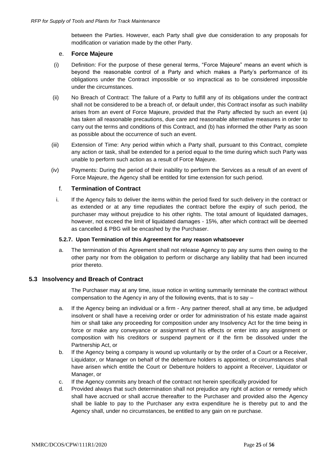between the Parties. However, each Party shall give due consideration to any proposals for modification or variation made by the other Party.

#### e. **Force Majeure**

- (i) Definition: For the purpose of these general terms, "Force Majeure" means an event which is beyond the reasonable control of a Party and which makes a Party's performance of its obligations under the Contract impossible or so impractical as to be considered impossible under the circumstances.
- (ii) No Breach of Contract: The failure of a Party to fulfill any of its obligations under the contract shall not be considered to be a breach of, or default under, this Contract insofar as such inability arises from an event of Force Majeure, provided that the Party affected by such an event (a) has taken all reasonable precautions, due care and reasonable alternative measures in order to carry out the terms and conditions of this Contract, and (b) has informed the other Party as soon as possible about the occurrence of such an event.
- (iii) Extension of Time: Any period within which a Party shall, pursuant to this Contract, complete any action or task, shall be extended for a period equal to the time during which such Party was unable to perform such action as a result of Force Majeure.
- <span id="page-25-0"></span>(iv) Payments: During the period of their inability to perform the Services as a result of an event of Force Majeure, the Agency shall be entitled for time extension for such period.

#### f. **Termination of Contract**

i. If the Agency fails to deliver the items within the period fixed for such delivery in the contract or as extended or at any time repudiates the contract before the expiry of such period, the purchaser may without prejudice to his other rights. The total amount of liquidated damages, however, not exceed the limit of liquidated damages - 15%, after which contract will be deemed as cancelled & PBG will be encashed by the Purchaser.

#### **5.2.7. Upon Termination of this Agreement for any reason whatsoever**

a. The termination of this Agreement shall not release Agency to pay any sums then owing to the other party nor from the obligation to perform or discharge any liability that had been incurred prior thereto.

#### **5.3 Insolvency and Breach of Contract**

The Purchaser may at any time, issue notice in writing summarily terminate the contract without compensation to the Agency in any of the following events, that is to say –

- a. If the Agency being an individual or a firm Any partner thereof, shall at any time, be adjudged insolvent or shall have a receiving order or order for administration of his estate made against him or shall take any proceeding for composition under any Insolvency Act for the time being in force or make any conveyance or assignment of his effects or enter into any assignment or composition with his creditors or suspend payment or if the firm be dissolved under the Partnership Act, or
- b. If the Agency being a company is wound up voluntarily or by the order of a Court or a Receiver, Liquidator, or Manager on behalf of the debenture holders is appointed, or circumstances shall have arisen which entitle the Court or Debenture holders to appoint a Receiver, Liquidator or Manager, or
- c. If the Agency commits any breach of the contract not herein specifically provided for
- d. Provided always that such determination shall not prejudice any right of action or remedy which shall have accrued or shall accrue thereafter to the Purchaser and provided also the Agency shall be liable to pay to the Purchaser any extra expenditure he is thereby put to and the Agency shall, under no circumstances, be entitled to any gain on re purchase.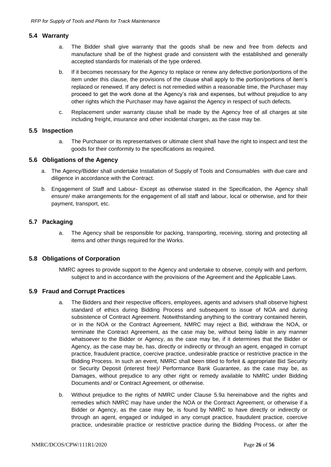#### **5.4 Warranty**

- a. The Bidder shall give warranty that the goods shall be new and free from defects and manufacture shall be of the highest grade and consistent with the established and generally accepted standards for materials of the type ordered.
- b. If it becomes necessary for the Agency to replace or renew any defective portion/portions of the item under this clause, the provisions of the clause shall apply to the portion/portions of item's replaced or renewed. If any defect is not remedied within a reasonable time, the Purchaser may proceed to get the work done at the Agency's risk and expenses, but without prejudice to any other rights which the Purchaser may have against the Agency in respect of such defects.
- c. Replacement under warranty clause shall be made by the Agency free of all charges at site including freight, insurance and other incidental charges, as the case may be.

#### **5.5 Inspection**

a. The Purchaser or its representatives or ultimate client shall have the right to inspect and test the goods for their conformity to the specifications as required.

#### **5.6 Obligations of the Agency**

- a. The Agency/Bidder shall undertake Installation of Supply of Tools and Consumables with due care and diligence in accordance with the Contract.
- b. Engagement of Staff and Labour- Except as otherwise stated in the Specification, the Agency shall ensure/ make arrangements for the engagement of all staff and labour, local or otherwise, and for their payment, transport, etc.

#### **5.7 Packaging**

a. The Agency shall be responsible for packing, transporting, receiving, storing and protecting all items and other things required for the Works.

## **5.8 Obligations of Corporation**

NMRC agrees to provide support to the Agency and undertake to observe, comply with and perform, subject to and in accordance with the provisions of the Agreement and the Applicable Laws.

#### <span id="page-26-1"></span><span id="page-26-0"></span>**5.9 Fraud and Corrupt Practices**

- a. The Bidders and their respective officers, employees, agents and advisers shall observe highest standard of ethics during Bidding Process and subsequent to issue of NOA and during subsistence of Contract Agreement. Notwithstanding anything to the contrary contained herein, or in the NOA or the Contract Agreement, NMRC may reject a Bid, withdraw the NOA, or terminate the Contract Agreement, as the case may be, without being liable in any manner whatsoever to the Bidder or Agency, as the case may be, if it determines that the Bidder or Agency, as the case may be, has, directly or indirectly or through an agent, engaged in corrupt practice, fraudulent practice, coercive practice, undesirable practice or restrictive practice in the Bidding Process. In such an event, NMRC shall been titled to forfeit & appropriate Bid Security or Security Deposit (interest free)/ Performance Bank Guarantee, as the case may be, as Damages, without prejudice to any other right or remedy available to NMRC under Bidding Documents and/ or Contract Agreement, or otherwise.
- b. Without prejudice to the rights of NMRC under Clause [5.9](#page-26-0)[a](#page-26-1) hereinabove and the rights and remedies which NMRC may have under the NOA or the Contract Agreement, or otherwise if a Bidder or Agency, as the case may be, is found by NMRC to have directly or indirectly or through an agent, engaged or indulged in any corrupt practice, fraudulent practice, coercive practice, undesirable practice or restrictive practice during the Bidding Process, or after the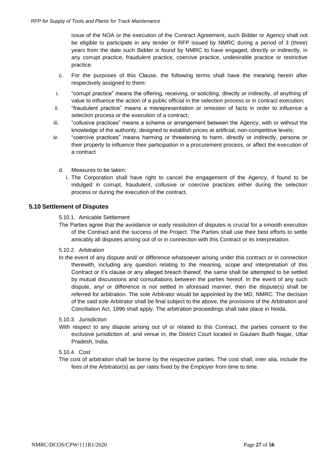issue of the NOA or the execution of the Contract Agreement, such Bidder or Agency shall not be eligible to participate in any tender or RFP issued by NMRC during a period of 3 (three) years from the date such Bidder is found by NMRC to have engaged, directly or indirectly, in any corrupt practice, fraudulent practice, coercive practice, undesirable practice or restrictive practice.

- c. For the purposes of this Clause, the following terms shall have the meaning herein after respectively assigned to them:
- i. "corrupt practice" means the offering, receiving, or soliciting, directly or indirectly, of anything of value to influence the action of a public official in the selection process or in contract execution;
- ii. "fraudulent practice" means a misrepresentation or omission of facts in order to influence a selection process or the execution of a contract;
- iii. "collusive practices" means a scheme or arrangement between the Agency, with or without the knowledge of the authority, designed to establish prices at artificial, non-competitive levels;
- iv. "coercive practices" means harming or threatening to harm, directly or indirectly, persons or their property to influence their participation in a procurement process, or affect the execution of a contract
	- d. Measures to be taken:
		- i. The Corporation shall have right to cancel the engagement of the Agency, if found to be indulged in corrupt, fraudulent, collusive or coercive practices either during the selection process or during the execution of the contract.

#### **5.10 Settlement of Disputes**

5.10.1. Amicable Settlement

The Parties agree that the avoidance or early resolution of disputes is crucial for a smooth execution of the Contract and the success of the Project. The Parties shall use their best efforts to settle amicably all disputes arising out of or in connection with this Contract or its interpretation.

#### 5.10.2. Arbitration

In the event of any dispute and/ or difference whatsoever arising under this contract or in connection therewith, including any question relating to the meaning, scope and interpretation of this Contract or it's clause or any alleged breach thereof, the same shall be attempted to be settled by mutual discussions and consultations between the parties hereof. In the event of any such dispute, any/ or difference is not settled in aforesaid manner, then the dispute(s) shall be referred for arbitration. The sole Arbitrator would be appointed by the MD, NMRC. The decision of the said sole Arbitrator shall be final subject to the above, the provisions of the Arbitration and Conciliation Act, 1996 shall apply. The arbitration proceedings shall take place in Noida.

#### 5.10.3. Jurisdiction

With respect to any dispute arising out of or related to this Contract, the parties consent to the exclusive jurisdiction of, and venue in, the District Court located in Gautam Budh Nagar, Uttar Pradesh, India.

#### 5.10.4. Cost

The cost of arbitration shall be borne by the respective parties. The cost shall, inter alia, include the fees of the Arbitrator(s) as per rates fixed by the Employer from time to time.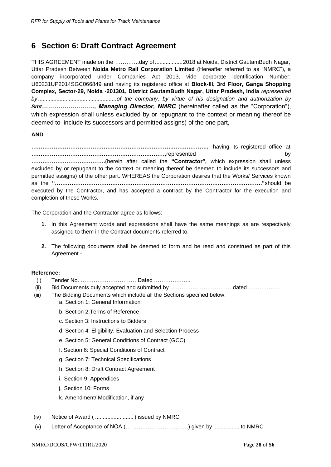# <span id="page-28-0"></span>**6 Section 6: Draft Contract Agreement**

THIS AGREEMENT made on the ………….day of ..................2018 at Noida, District GautamBudh Nagar, Uttar Pradesh Between **Noida Metro Rail Corporation Limited** (Hereafter referred to as "NMRC"), a company incorporated under Companies Act 2013, vide corporate identification Number: U60231UP2014SGC066849 and having its registered office at **Block-III, 3rd Floor, Ganga Shopping Complex, Sector-29, Noida -201301, District GautamBudh Nagar, Uttar Pradesh, India** *represented by ...................................................of the company, by virtue of his designation and authorization by Smt…………………….., Managing Director, NMRC* (hereinafter called as the "Corporation"), which expression shall unless excluded by or repugnant to the context or meaning thereof be deemed to include its successors and permitted assigns) of the one part,

#### **AND**

**………………………………………………………………….………………..** having its registered office at **………………………………………………………………**,represented by **………………………………….**(herein after called the **"Contractor",** which expression shall unless excluded by or repugnant to the context or meaning thereof be deemed to include its successors and permitted assigns) of the other part. WHEREAS the Corporation desires that the Works/ Services known as the **"…………………………………………………………………………………………………."**should be executed by the Contractor, and has accepted a contract by the Contractor for the execution and completion of these Works.

The Corporation and the Contractor agree as follows:

- **1.** In this Agreement words and expressions shall have the same meanings as are respectively assigned to them in the Contract documents referred to.
- **2.** The following documents shall be deemed to form and be read and construed as part of this Agreement -

#### **Reference:**

- (i) Tender No. ………………………… Dated ………………..
- (ii) Bid Documents duly accepted and submitted by …………………………… dated ……………..
- (iii) The Bidding Documents which include all the Sections specified below:
	- a. Section 1: General Information
	- b. Section 2:Terms of Reference
	- c. Section 3: Instructions to Bidders
	- d. Section 4: Eligibility, Evaluation and Selection Process
	- e. Section 5: General Conditions of Contract (GCC)
	- f. Section 6: Special Conditions of Contract
	- g. Section 7: Technical Specifications
	- h. Section 8: Draft Contract Agreement
	- i. Section 9: Appendices
	- j. Section 10: Forms
	- k. Amendment/ Modification, if any
- (iv) Notice of Award ( ......................... ) issued by NMRC
- (v) Letter of Acceptance of NOA (…………………………….) given by ................. to NMRC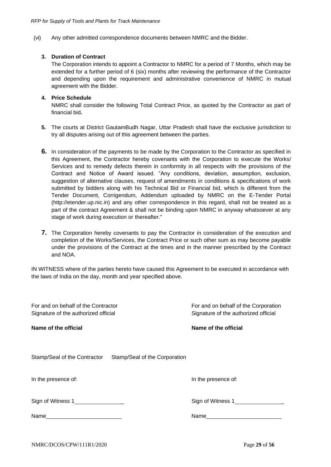(vi) Any other admitted correspondence documents between NMRC and the Bidder.

#### **3. Duration of Contract**

The Corporation intends to appoint a Contractor to NMRC for a period of 7 Months, which may be extended for a further period of 6 (six) months after reviewing the performance of the Contractor and depending upon the requirement and administrative convenience of NMRC in mutual agreement with the Bidder.

#### **4. Price Schedule**

NMRC shall consider the following Total Contract Price, as quoted by the Contractor as part of financial bid**.**

- **5.** The courts at District GautamBudh Nagar, Uttar Pradesh shall have the exclusive jurisdiction to try all disputes arising out of this agreement between the parties.
- **6.** In consideration of the payments to be made by the Corporation to the Contractor as specified in this Agreement, the Contractor hereby covenants with the Corporation to execute the Works/ Services and to remedy defects therein in conformity in all respects with the provisions of the Contract and Notice of Award issued. "Any conditions, deviation, assumption, exclusion, suggestion of alternative clauses, request of amendments in conditions & specifications of work submitted by bidders along with his Technical Bid or Financial bid, which is different from the Tender Document, Corrigendum, Addendum uploaded by NMRC on the E-Tender Portal (http://etender.up.nic.in) and any other correspondence in this regard, shall not be treated as a part of the contract Agreement & shall not be binding upon NMRC in anyway whatsoever at any stage of work during execution or thereafter."
- **7.** The Corporation hereby covenants to pay the Contractor in consideration of the execution and completion of the Works/Services, the Contract Price or such other sum as may become payable under the provisions of the Contract at the times and in the manner prescribed by the Contract and NOA.

IN WITNESS where of the parties hereto have caused this Agreement to be executed in accordance with the laws of India on the day, month and year specified above.

| For and on behalf of the Contractor<br>Signature of the authorized official | For and on behalf of the Corporation<br>Signature of the authorized official |  |
|-----------------------------------------------------------------------------|------------------------------------------------------------------------------|--|
| Name of the official                                                        | Name of the official                                                         |  |
| Stamp/Seal of the Contractor Stamp/Seal of the Corporation                  |                                                                              |  |
| In the presence of:                                                         | In the presence of:                                                          |  |
|                                                                             | Sign of Witness 1                                                            |  |
|                                                                             | Name <b>Name</b>                                                             |  |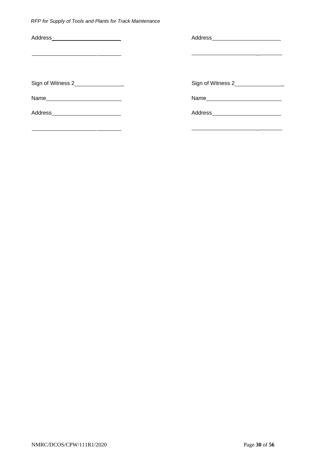| Address___________________________ |                                   |
|------------------------------------|-----------------------------------|
|                                    |                                   |
|                                    | Sign of Witness 2                 |
|                                    |                                   |
| Address_________________________   | Address__________________________ |
|                                    |                                   |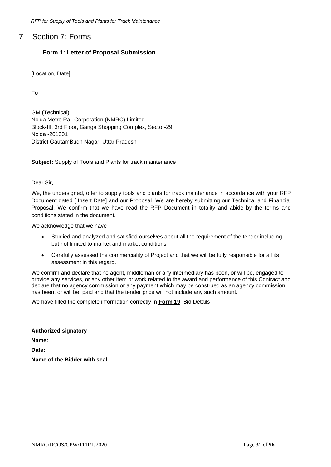# <span id="page-31-0"></span>7 Section 7: Forms

# **Form 1: Letter of Proposal Submission**

[Location, Date]

To

GM (Technical) Noida Metro Rail Corporation (NMRC) Limited Block-III, 3rd Floor, Ganga Shopping Complex, Sector-29, Noida -201301 District GautamBudh Nagar, Uttar Pradesh

**Subject:** Supply of Tools and Plants for track maintenance

Dear Sir,

We, the undersigned, offer to supply tools and plants for track maintenance in accordance with your RFP Document dated [ Insert Date] and our Proposal. We are hereby submitting our Technical and Financial Proposal. We confirm that we have read the RFP Document in totality and abide by the terms and conditions stated in the document.

We acknowledge that we have

- Studied and analyzed and satisfied ourselves about all the requirement of the tender including but not limited to market and market conditions
- Carefully assessed the commerciality of Project and that we will be fully responsible for all its assessment in this regard.

We confirm and declare that no agent, middleman or any intermediary has been, or will be, engaged to provide any services, or any other item or work related to the award and performance of this Contract and declare that no agency commission or any payment which may be construed as an agency commission has been, or will be, paid and that the tender price will not include any such amount.

We have filled the complete information correctly in **Form 19**: Bid Details

**Authorized signatory Name: Date: Name of the Bidder with seal**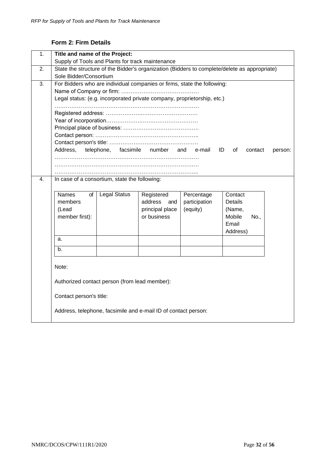# **Form 2: Firm Details**

<span id="page-32-0"></span>

| 1.                                                                                                                                                                                                                                                                                                                                                                                                                                                                                                        | Title and name of the Project:<br>Supply of Tools and Plants for track maintenance                                                                 |  |  |  |  |  |
|-----------------------------------------------------------------------------------------------------------------------------------------------------------------------------------------------------------------------------------------------------------------------------------------------------------------------------------------------------------------------------------------------------------------------------------------------------------------------------------------------------------|----------------------------------------------------------------------------------------------------------------------------------------------------|--|--|--|--|--|
| 2.                                                                                                                                                                                                                                                                                                                                                                                                                                                                                                        | State the structure of the Bidder's organization (Bidders to complete/delete as appropriate)<br>Sole Bidder/Consortium                             |  |  |  |  |  |
| 3.                                                                                                                                                                                                                                                                                                                                                                                                                                                                                                        | For Bidders who are individual companies or firms, state the following:<br>Legal status: (e.g. incorporated private company, proprietorship, etc.) |  |  |  |  |  |
|                                                                                                                                                                                                                                                                                                                                                                                                                                                                                                           | Address,<br>facsimile<br>telephone,<br>number<br>and e-mail<br>ID<br>of<br>contact<br>person:                                                      |  |  |  |  |  |
|                                                                                                                                                                                                                                                                                                                                                                                                                                                                                                           |                                                                                                                                                    |  |  |  |  |  |
| $\overline{4}$ .<br>In case of a consortium, state the following:<br><b>Names</b><br><b>Legal Status</b><br>Registered<br>Percentage<br>Contact<br>οf<br>address<br>participation<br>Details<br>members<br>and<br>principal place<br>(Lead<br>(equity)<br>(Name,<br>member first):<br>or business<br>Mobile<br>No<br>Email<br>Address)<br>a.<br>b.<br>Note:<br>Authorized contact person (from lead member):<br>Contact person's title:<br>Address, telephone, facsimile and e-mail ID of contact person: |                                                                                                                                                    |  |  |  |  |  |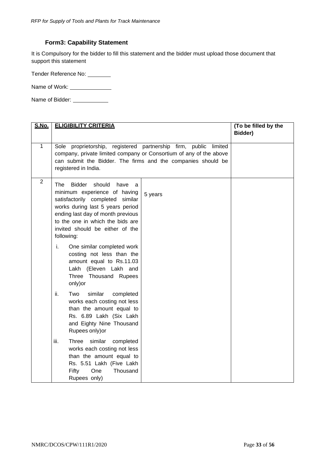# **Form3: Capability Statement**

<span id="page-33-0"></span>It is Compulsory for the bidder to fill this statement and the bidder must upload those document that support this statement

Tender Reference No:

Name of Work: \_\_\_\_\_\_\_\_\_\_\_\_\_\_\_\_

Name of Bidder: \_\_\_\_\_\_\_\_\_\_\_\_\_\_

| <u>S.No.</u>   | <b>ELIGIBILITY CRITERIA</b>                                                                                                                                                                                                                                                                 | (To be filled by the |
|----------------|---------------------------------------------------------------------------------------------------------------------------------------------------------------------------------------------------------------------------------------------------------------------------------------------|----------------------|
|                |                                                                                                                                                                                                                                                                                             | Bidder)              |
| 1              | Sole proprietorship, registered partnership firm, public<br>limited<br>company, private limited company or Consortium of any of the above<br>can submit the Bidder. The firms and the companies should be<br>registered in India.                                                           |                      |
| $\overline{2}$ | The<br><b>Bidder</b><br>should<br>have<br>a<br>minimum experience of having<br>5 years<br>satisfactorily completed<br>similar<br>works during last 5 years period<br>ending last day of month previous<br>to the one in which the bids are<br>invited should be either of the<br>following: |                      |
|                | i.<br>One similar completed work<br>costing not less than the<br>amount equal to Rs.11.03<br>Lakh (Eleven Lakh and<br>Three Thousand Rupees<br>only) or                                                                                                                                     |                      |
|                | ii.<br>similar<br>Two<br>completed<br>works each costing not less<br>than the amount equal to<br>Rs. 6.89 Lakh (Six Lakh<br>and Eighty Nine Thousand<br>Rupees only) or                                                                                                                     |                      |
|                | similar<br>iii.<br>Three<br>completed<br>works each costing not less<br>than the amount equal to<br>Rs. 5.51 Lakh (Five Lakh<br>Fifty<br>One<br>Thousand<br>Rupees only)                                                                                                                    |                      |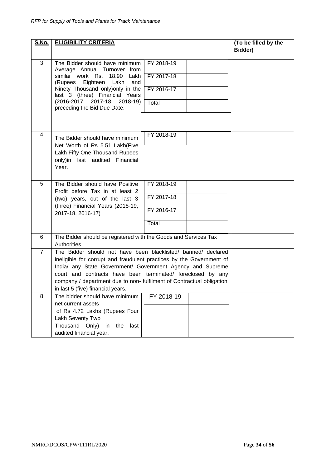| S.No.          | <b>ELIGIBILITY CRITERIA</b>                                                                                                        |            |  | (To be filled by the |
|----------------|------------------------------------------------------------------------------------------------------------------------------------|------------|--|----------------------|
|                |                                                                                                                                    | Bidder)    |  |                      |
|                |                                                                                                                                    |            |  |                      |
| 3              | The Bidder should have minimum<br>Average Annual Turnover from                                                                     | FY 2018-19 |  |                      |
|                | similar work Rs.<br>18.90<br>Lakh<br>Eighteen<br>Lakh<br>(Rupees<br>and                                                            | FY 2017-18 |  |                      |
|                | Ninety Thousand only) only in the<br>last 3 (three) Financial Years                                                                | FY 2016-17 |  |                      |
|                | $(2016-2017, 2017-18, 2018-19)$<br>preceding the Bid Due Date.                                                                     | Total      |  |                      |
|                |                                                                                                                                    |            |  |                      |
| 4              | The Bidder should have minimum                                                                                                     | FY 2018-19 |  |                      |
|                | Net Worth of Rs 5.51 Lakh(Five<br>Lakh Fifty One Thousand Rupees                                                                   |            |  |                      |
|                | only)in last audited Financial<br>Year.                                                                                            |            |  |                      |
|                |                                                                                                                                    |            |  |                      |
| 5              | The Bidder should have Positive<br>Profit before Tax in at least 2                                                                 | FY 2018-19 |  |                      |
|                | (two) years, out of the last 3                                                                                                     | FY 2017-18 |  |                      |
|                | (three) Financial Years (2018-19,<br>2017-18, 2016-17)                                                                             | FY 2016-17 |  |                      |
|                |                                                                                                                                    | Total      |  |                      |
| 6              | The Bidder should be registered with the Goods and Services Tax<br>Authorities.                                                    |            |  |                      |
| $\overline{7}$ | The Bidder should not have been blacklisted/ banned/ declared                                                                      |            |  |                      |
|                | ineligible for corrupt and fraudulent practices by the Government of<br>India/ any State Government/ Government Agency and Supreme |            |  |                      |
|                | court and contracts have been terminated/ foreclosed by any                                                                        |            |  |                      |
|                | company / department due to non- fulfilment of Contractual obligation<br>in last 5 (five) financial years.                         |            |  |                      |
| 8              | The bidder should have minimum                                                                                                     | FY 2018-19 |  |                      |
|                | net current assets                                                                                                                 |            |  |                      |
|                | of Rs 4.72 Lakhs (Rupees Four<br>Lakh Seventy Two                                                                                  |            |  |                      |
|                | Thousand Only)<br>in<br>last<br>the                                                                                                |            |  |                      |
|                | audited financial year.                                                                                                            |            |  |                      |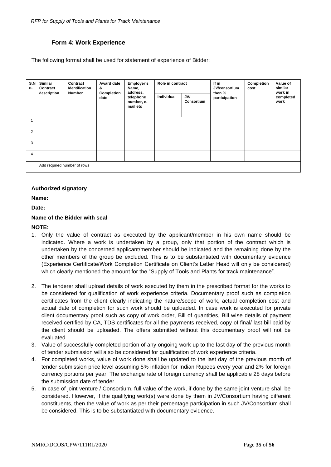# **Form 4: Work Experience**

<span id="page-35-0"></span>The following format shall be used for statement of experience of Bidder:

| S.N<br>о.      | Similar<br>Contract | Contract<br><b>Identification</b> | Award date<br>&    | Employer's<br>Name,                             | Role in contract |                   | If in<br>JV/consortium<br>then %<br>participation | Completion<br>cost | Value of<br>similar<br>work in<br>completed<br>work |
|----------------|---------------------|-----------------------------------|--------------------|-------------------------------------------------|------------------|-------------------|---------------------------------------------------|--------------------|-----------------------------------------------------|
|                | description         | <b>Number</b>                     | Completion<br>date | address,<br>telephone<br>number, e-<br>mail etc | Individual       | JV/<br>Consortium |                                                   |                    |                                                     |
|                |                     |                                   |                    |                                                 |                  |                   |                                                   |                    |                                                     |
| $\overline{2}$ |                     |                                   |                    |                                                 |                  |                   |                                                   |                    |                                                     |
| 3              |                     |                                   |                    |                                                 |                  |                   |                                                   |                    |                                                     |
| 4              |                     |                                   |                    |                                                 |                  |                   |                                                   |                    |                                                     |
|                |                     | Add required number of rows       |                    |                                                 |                  |                   |                                                   |                    |                                                     |

#### **Authorized signatory**

**Name:**

**Date:**

#### **Name of the Bidder with seal**

#### **NOTE:**

- 1. Only the value of contract as executed by the applicant/member in his own name should be indicated. Where a work is undertaken by a group, only that portion of the contract which is undertaken by the concerned applicant/member should be indicated and the remaining done by the other members of the group be excluded. This is to be substantiated with documentary evidence (Experience Certificate/Work Completion Certificate on Client's Letter Head will only be considered) which clearly mentioned the amount for the "Supply of Tools and Plants for track maintenance".
- 2. The tenderer shall upload details of work executed by them in the prescribed format for the works to be considered for qualification of work experience criteria. Documentary proof such as completion certificates from the client clearly indicating the nature/scope of work, actual completion cost and actual date of completion for such work should be uploaded. In case work is executed for private client documentary proof such as copy of work order, Bill of quantities, Bill wise details of payment received certified by CA, TDS certificates for all the payments received, copy of final/ last bill paid by the client should be uploaded. The offers submitted without this documentary proof will not be evaluated.
- 3. Value of successfully completed portion of any ongoing work up to the last day of the previous month of tender submission will also be considered for qualification of work experience criteria.
- 4. For completed works, value of work done shall be updated to the last day of the previous month of tender submission price level assuming 5% inflation for Indian Rupees every year and 2% for foreign currency portions per year. The exchange rate of foreign currency shall be applicable 28 days before the submission date of tender.
- 5. In case of joint venture / Consortium, full value of the work, if done by the same joint venture shall be considered. However, if the qualifying work(s) were done by them in JV/Consortium having different constituents, then the value of work as per their percentage participation in such JV/Consortium shall be considered. This is to be substantiated with documentary evidence.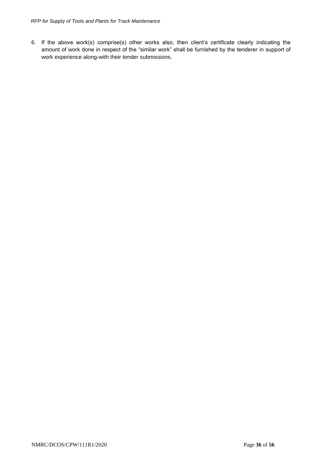6. If the above work(s) comprise(s) other works also, then client's certificate clearly indicating the amount of work done in respect of the "similar work" shall be furnished by the tenderer in support of work experience along-with their tender submissions.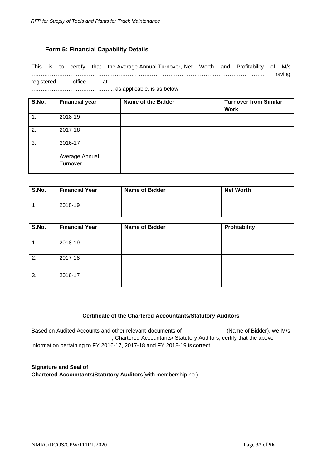### **Form 5: Financial Capability Details**

<span id="page-37-0"></span>This is to certify that the Average Annual Turnover, Net Worth and Profitability of M/s ……………………………………………………………………………………………………………… having registered office at ……………………………………………………………………………… …………………………………….., as applicable, is as below:

| S.No.            | <b>Financial year</b>      | <b>Name of the Bidder</b> | <b>Turnover from Similar</b><br><b>Work</b> |
|------------------|----------------------------|---------------------------|---------------------------------------------|
| $\overline{1}$ . | 2018-19                    |                           |                                             |
| 2.               | 2017-18                    |                           |                                             |
| 3.               | 2016-17                    |                           |                                             |
|                  | Average Annual<br>Turnover |                           |                                             |

| S.No. | <b>Financial Year</b> | <b>Name of Bidder</b> | <b>Net Worth</b> |
|-------|-----------------------|-----------------------|------------------|
|       | 2018-19               |                       |                  |

| S.No. | <b>Financial Year</b> | <b>Name of Bidder</b> | Profitability |
|-------|-----------------------|-----------------------|---------------|
| 1.    | 2018-19               |                       |               |
| 2.    | 2017-18               |                       |               |
| 3.    | 2016-17               |                       |               |

#### **Certificate of the Chartered Accountants/Statutory Auditors**

Based on Audited Accounts and other relevant documents of \_\_\_\_\_\_\_\_\_\_\_\_\_(Name of Bidder), we M/s , Chartered Accountants/ Statutory Auditors, certify that the above information pertaining to FY 2016-17, 2017-18 and FY 2018-19 is correct.

**Signature and Seal of Chartered Accountants/Statutory Auditors**(with membership no.)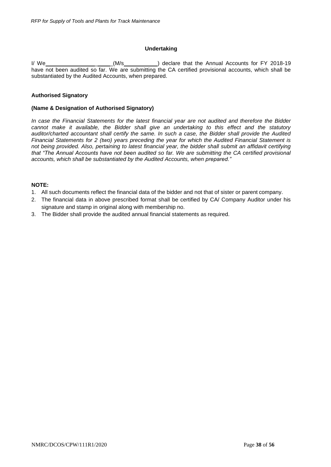#### **Undertaking**

I/ We  $\frac{1}{2}$   $\frac{1}{2}$   $\frac{1}{2}$   $\frac{1}{2}$   $\frac{1}{2}$  declare that the Annual Accounts for FY 2018-19 have not been audited so far. We are submitting the CA certified provisional accounts, which shall be substantiated by the Audited Accounts, when prepared.

#### **Authorised Signatory**

#### **(Name & Designation of Authorised Signatory)**

*In case the Financial Statements for the latest financial year are not audited and therefore the Bidder cannot make it available, the Bidder shall give an undertaking to this effect and the statutory auditor/charted accountant shall certify the same. In such a case, the Bidder shall provide the Audited Financial Statements for 2 (two) years preceding the year for which the Audited Financial Statement is not being provided. Also, pertaining to latest financial year, the bidder shall submit an affidavit certifying that "The Annual Accounts have not been audited so far. We are submitting the CA certified provisional accounts, which shall be substantiated by the Audited Accounts, when prepared."*

#### **NOTE:**

- 1. All such documents reflect the financial data of the bidder and not that of sister or parent company.
- 2. The financial data in above prescribed format shall be certified by CA/ Company Auditor under his signature and stamp in original along with membership no.
- 3. The Bidder shall provide the audited annual financial statements as required.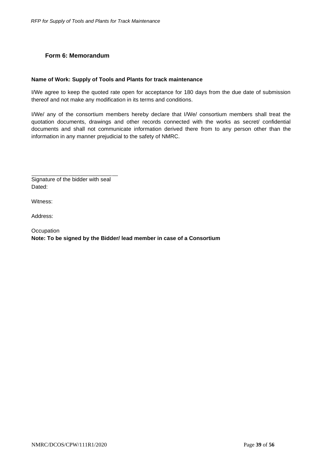# <span id="page-39-0"></span>**Form 6: Memorandum**

#### **Name of Work: Supply of Tools and Plants for track maintenance**

I/We agree to keep the quoted rate open for acceptance for 180 days from the due date of submission thereof and not make any modification in its terms and conditions.

I/We/ any of the consortium members hereby declare that I/We/ consortium members shall treat the quotation documents, drawings and other records connected with the works as secret/ confidential documents and shall not communicate information derived there from to any person other than the information in any manner prejudicial to the safety of NMRC.

Signature of the bidder with seal Dated:

Witness:

Address:

**Occupation Note: To be signed by the Bidder/ lead member in case of a Consortium**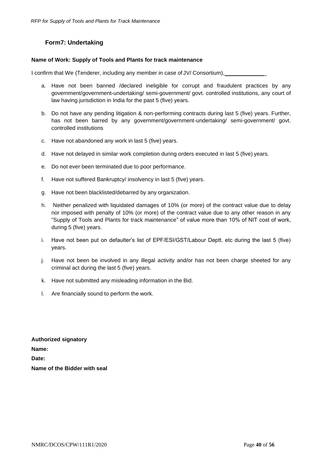# **Form7: Undertaking**

#### <span id="page-40-0"></span>**Name of Work: Supply of Tools and Plants for track maintenance**

I confirm that We (Tenderer, including any member in case of JV/ Consortium), \_

- a. Have not been banned /declared ineligible for corrupt and fraudulent practices by any government/government-undertaking/ semi-government/ govt. controlled institutions, any court of law having jurisdiction in India for the past 5 (five) years.
- b. Do not have any pending litigation & non-performing contracts during last 5 (five) years. Further, has not been barred by any government/government-undertaking/ semi-government/ govt. controlled institutions
- c. Have not abandoned any work in last 5 (five) years.
- d. Have not delayed in similar work completion during orders executed in last 5 (five) years.
- e. Do not ever been terminated due to poor performance.
- f. Have not suffered Bankruptcy/ insolvency in last 5 (five) years.
- g. Have not been blacklisted/debarred by any organization.
- h. Neither penalized with liquidated damages of 10% (or more) of the contract value due to delay nor imposed with penalty of 10% (or more) of the contract value due to any other reason in any "Supply of Tools and Plants for track maintenance" of value more than 10% of NIT cost of work, during 5 (five) years.
- i. Have not been put on defaulter's list of EPF/ESI/GST/Labour Deptt. etc during the last 5 (five) years.
- j. Have not been be involved in any illegal activity and/or has not been charge sheeted for any criminal act during the last 5 (five) years.
- k. Have not submitted any misleading information in the Bid.
- l. Are financially sound to perform the work.

**Authorized signatory Name: Date: Name of the Bidder with seal**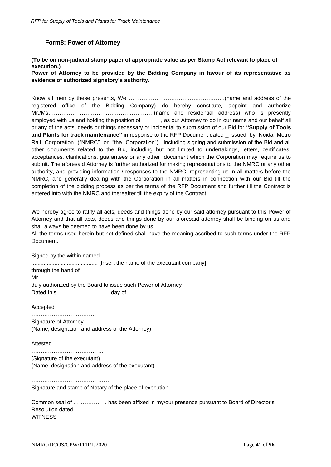#### **Form8: Power of Attorney**

# <span id="page-41-0"></span>**(To be on non-judicial stamp paper of appropriate value as per Stamp Act relevant to place of execution.)**

**Power of Attorney to be provided by the Bidding Company in favour of its representative as evidence of authorized signatory's authority.**

Know all men by these presents, We …………………………………………….(name and address of the registered office of the Bidding Company) do hereby constitute, appoint and authorize Mr./Ms…………………………………………………(name and residential address) who is presently employed with us and holding the position of \_\_\_\_\_\_\_, as our Attorney to do in our name and our behalf all or any of the acts, deeds or things necessary or incidental to submission of our Bid for **"Supply of Tools and Plants for track maintenance"** in response to the RFP Document dated issued by Noida Metro Rail Corporation ("NMRC" or "the Corporation"), including signing and submission of the Bid and all other documents related to the Bid, including but not limited to undertakings, letters, certificates, acceptances, clarifications, guarantees or any other document which the Corporation may require us to submit. The aforesaid Attorney is further authorized for making representations to the NMRC or any other authority, and providing information / responses to the NMRC, representing us in all matters before the NMRC, and generally dealing with the Corporation in all matters in connection with our Bid till the completion of the bidding process as per the terms of the RFP Document and further till the Contract is entered into with the NMRC and thereafter till the expiry of the Contract.

We hereby agree to ratify all acts, deeds and things done by our said attorney pursuant to this Power of Attorney and that all acts, deeds and things done by our aforesaid attorney shall be binding on us and shall always be deemed to have been done by us.

All the terms used herein but not defined shall have the meaning ascribed to such terms under the RFP Document.

Signed by the within named

........................................... [Insert the name of the executant company] through the hand of Mr. ………………………………………. duly authorized by the Board to issue such Power of Attorney Dated this ………………………. day of ………

Accepted

……………………………… Signature of Attorney (Name, designation and address of the Attorney)

Attested

…………………………………………… (Signature of the executant) (Name, designation and address of the executant)

…………………………………… Signature and stamp of Notary of the place of execution

Common seal of ……………… has been affixed in my/our presence pursuant to Board of Director's Resolution dated…… **WITNESS**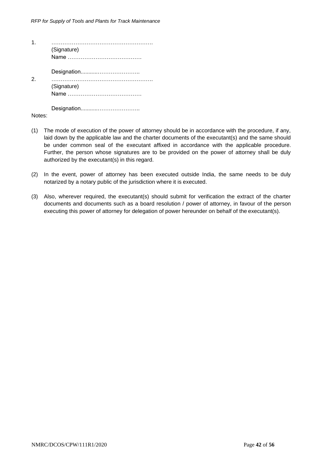| (Signature) |
|-------------|
|             |
| (Signature) |
|             |

Notes:

- (1) The mode of execution of the power of attorney should be in accordance with the procedure, if any, laid down by the applicable law and the charter documents of the executant(s) and the same should be under common seal of the executant affixed in accordance with the applicable procedure. Further, the person whose signatures are to be provided on the power of attorney shall be duly authorized by the executant(s) in this regard.
- (2) In the event, power of attorney has been executed outside India, the same needs to be duly notarized by a notary public of the jurisdiction where it is executed.
- (3) Also, wherever required, the executant(s) should submit for verification the extract of the charter documents and documents such as a board resolution / power of attorney, in favour of the person executing this power of attorney for delegation of power hereunder on behalf of the executant(s).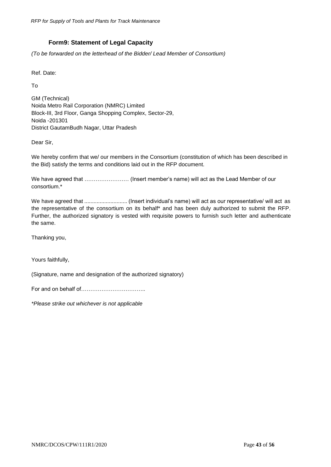# **Form9: Statement of Legal Capacity**

<span id="page-43-0"></span>*(To be forwarded on the letterhead of the Bidder/ Lead Member of Consortium)*

Ref. Date:

To

GM (Technical) Noida Metro Rail Corporation (NMRC) Limited Block-III, 3rd Floor, Ganga Shopping Complex, Sector-29, Noida -201301 District GautamBudh Nagar, Uttar Pradesh

Dear Sir,

We hereby confirm that we/ our members in the Consortium (constitution of which has been described in the Bid) satisfy the terms and conditions laid out in the RFP document.

We have agreed that …………………… (Insert member's name) will act as the Lead Member of our consortium.\*

We have agreed that ............................ (Insert individual's name) will act as our representative/ will act as the representative of the consortium on its behalf\* and has been duly authorized to submit the RFP. Further, the authorized signatory is vested with requisite powers to furnish such letter and authenticate the same.

Thanking you,

Yours faithfully,

(Signature, name and designation of the authorized signatory)

For and on behalf of……………………………..

*\*Please strike out whichever is not applicable*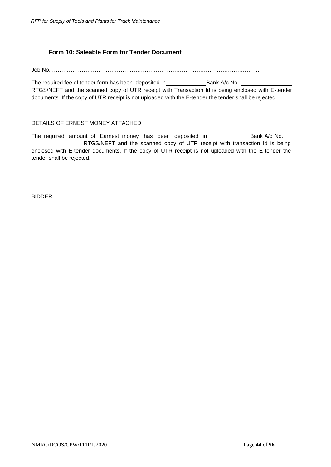# **Form 10: Saleable Form for Tender Document**

<span id="page-44-0"></span>Job No. …………………………………………………………………………………………………..

The required fee of tender form has been deposited in\_\_\_\_\_\_\_\_\_\_\_\_\_\_\_\_\_\_\_\_\_\_\_\_\_\_\_\_Bank A/c No. RTGS/NEFT and the scanned copy of UTR receipt with Transaction Id is being enclosed with E-tender documents. If the copy of UTR receipt is not uploaded with the E-tender the tender shall be rejected.

### DETAILS OF ERNEST MONEY ATTACHED

The required amount of Earnest money has been deposited in \_\_\_\_\_\_\_\_\_\_\_\_\_\_\_\_\_\_\_\_\_Bank A/c No. \_ RTGS/NEFT and the scanned copy of UTR receipt with transaction Id is being enclosed with E-tender documents. If the copy of UTR receipt is not uploaded with the E-tender the tender shall be rejected.

BIDDER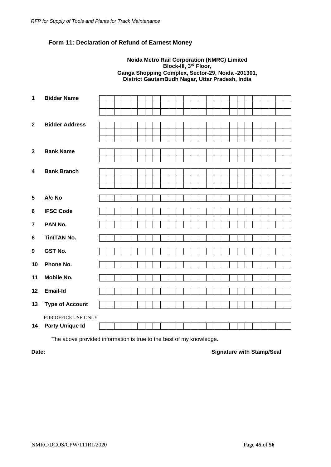# <span id="page-45-0"></span>**Form 11: Declaration of Refund of Earnest Money**

#### **Noida Metro Rail Corporation (NMRC) Limited Block-III, 3rd Floor, Ganga Shopping Complex, Sector-29, Noida -201301, District GautamBudh Nagar, Uttar Pradesh, India**

| 1                       | <b>Bidder Name</b>     |  |  |  |  |  |  |  |  |  |  |  |
|-------------------------|------------------------|--|--|--|--|--|--|--|--|--|--|--|
|                         |                        |  |  |  |  |  |  |  |  |  |  |  |
|                         |                        |  |  |  |  |  |  |  |  |  |  |  |
| $\mathbf{2}$            | <b>Bidder Address</b>  |  |  |  |  |  |  |  |  |  |  |  |
|                         |                        |  |  |  |  |  |  |  |  |  |  |  |
|                         |                        |  |  |  |  |  |  |  |  |  |  |  |
|                         |                        |  |  |  |  |  |  |  |  |  |  |  |
| $\mathbf{3}$            | <b>Bank Name</b>       |  |  |  |  |  |  |  |  |  |  |  |
|                         |                        |  |  |  |  |  |  |  |  |  |  |  |
| $\overline{\mathbf{4}}$ | <b>Bank Branch</b>     |  |  |  |  |  |  |  |  |  |  |  |
|                         |                        |  |  |  |  |  |  |  |  |  |  |  |
|                         |                        |  |  |  |  |  |  |  |  |  |  |  |
|                         |                        |  |  |  |  |  |  |  |  |  |  |  |
| 5                       | A/c No                 |  |  |  |  |  |  |  |  |  |  |  |
| $\bf 6$                 | <b>IFSC Code</b>       |  |  |  |  |  |  |  |  |  |  |  |
|                         |                        |  |  |  |  |  |  |  |  |  |  |  |
| $\overline{7}$          | PAN No.                |  |  |  |  |  |  |  |  |  |  |  |
| 8                       | <b>Tin/TAN No.</b>     |  |  |  |  |  |  |  |  |  |  |  |
|                         |                        |  |  |  |  |  |  |  |  |  |  |  |
| $\boldsymbol{9}$        | <b>GST No.</b>         |  |  |  |  |  |  |  |  |  |  |  |
| 10                      | Phone No.              |  |  |  |  |  |  |  |  |  |  |  |
| 11                      | <b>Mobile No.</b>      |  |  |  |  |  |  |  |  |  |  |  |
|                         |                        |  |  |  |  |  |  |  |  |  |  |  |
| 12                      | <b>Email-Id</b>        |  |  |  |  |  |  |  |  |  |  |  |
| 13                      | <b>Type of Account</b> |  |  |  |  |  |  |  |  |  |  |  |
|                         |                        |  |  |  |  |  |  |  |  |  |  |  |
|                         | FOR OFFICE USE ONLY    |  |  |  |  |  |  |  |  |  |  |  |
| 14                      | <b>Party Unique Id</b> |  |  |  |  |  |  |  |  |  |  |  |

The above provided information is true to the best of my knowledge.

#### **Date: Date: Signature with Stamp/Seal**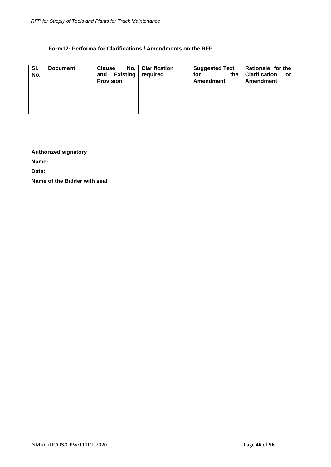#### **Form12: Performa for Clarifications / Amendments on the RFP**

<span id="page-46-0"></span>

| SI.<br>No. | <b>Document</b> | <b>Clause</b><br>and<br><b>Provision</b> | No.   Clarification<br>Existing required | <b>Suggested Text</b><br>the<br>for<br>Amendment | Rationale for the<br><b>Clarification</b><br><b>or</b><br>Amendment |
|------------|-----------------|------------------------------------------|------------------------------------------|--------------------------------------------------|---------------------------------------------------------------------|
|            |                 |                                          |                                          |                                                  |                                                                     |
|            |                 |                                          |                                          |                                                  |                                                                     |

# **Authorized signatory**

**Name:**

**Date:**

**Name of the Bidder with seal**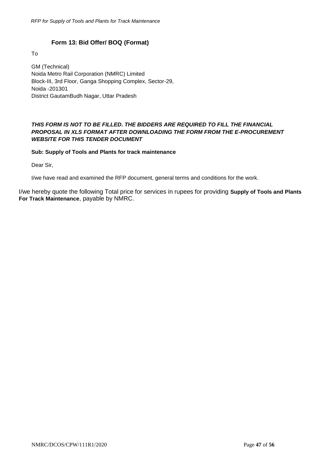# **Form 13: Bid Offer/ BOQ (Format)**

<span id="page-47-0"></span>To

GM (Technical) Noida Metro Rail Corporation (NMRC) Limited Block-III, 3rd Floor, Ganga Shopping Complex, Sector-29, Noida -201301 District GautamBudh Nagar, Uttar Pradesh

# *THIS FORM IS NOT TO BE FILLED. THE BIDDERS ARE REQUIRED TO FILL THE FINANCIAL PROPOSAL IN XLS FORMAT AFTER DOWNLOADING THE FORM FROM THE E-PROCUREMENT WEBSITE FOR THIS TENDER DOCUMENT*

#### **Sub: Supply of Tools and Plants for track maintenance**

Dear Sir,

I/we have read and examined the RFP document, general terms and conditions for the work.

I/we hereby quote the following Total price for services in rupees for providing **Supply of Tools and Plants For Track Maintenance**, payable by NMRC.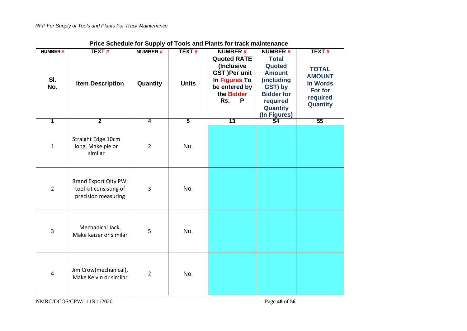| <b>NUMBER#</b> | <b>TEXT#</b>                                                                  | <b>NUMBER#</b> | <b>TEXT#</b>   | <b>NUMBER#</b>                                                                                                       | <b>NUMBER#</b>                                                                                                                | <b>TEXT#</b>                                                                               |
|----------------|-------------------------------------------------------------------------------|----------------|----------------|----------------------------------------------------------------------------------------------------------------------|-------------------------------------------------------------------------------------------------------------------------------|--------------------------------------------------------------------------------------------|
| SI.<br>No.     | <b>Item Description</b>                                                       | Quantity       | <b>Units</b>   | <b>Quoted RATE</b><br>(Inclusive<br><b>GST )Per unit</b><br>In Figures To<br>be entered by<br>the Bidder<br>Rs.<br>P | <b>Total</b><br>Quoted<br><b>Amount</b><br>(including<br>GST) by<br><b>Bidder for</b><br>required<br>Quantity<br>(In Figures) | <b>TOTAL</b><br><b>AMOUNT</b><br><b>In Words</b><br>For for<br>required<br><b>Quantity</b> |
| $\overline{1}$ | $\overline{2}$                                                                | $\overline{4}$ | $\overline{5}$ | $\overline{13}$                                                                                                      | 54                                                                                                                            | 55                                                                                         |
| $\mathbf 1$    | Straight Edge 10cm<br>long, Make pie or<br>similar                            | $\overline{2}$ | No.            |                                                                                                                      |                                                                                                                               |                                                                                            |
| $\overline{2}$ | <b>Brand Export Qlty PWI</b><br>tool kit consisting of<br>precision measuring | 3              | No.            |                                                                                                                      |                                                                                                                               |                                                                                            |
| $\overline{3}$ | Mechanical Jack,<br>Make kaizer or similar                                    | 5              | No.            |                                                                                                                      |                                                                                                                               |                                                                                            |
| 4              | Jim Crow(mechanical),<br>Make Kelvin or similar                               | $\overline{2}$ | No.            |                                                                                                                      |                                                                                                                               |                                                                                            |

# **Price Schedule for Supply of Tools and Plants for track maintenance**

NMRC/DCOS/CPW/111R1 /2020 Page **48** of **56**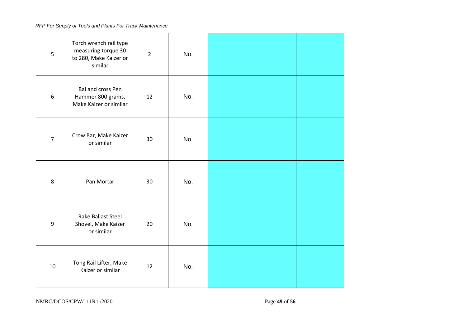| 5                | Torch wrench rail type<br>measuring torque 30<br>to 280, Make Kaizer or<br>similar | $\overline{2}$ | No. |  |  |
|------------------|------------------------------------------------------------------------------------|----------------|-----|--|--|
| $\boldsymbol{6}$ | Bal and cross Pen<br>Hammer 800 grams,<br>Make Kaizer or similar                   | 12             | No. |  |  |
| $\overline{7}$   | Crow Bar, Make Kaizer<br>or similar                                                | 30             | No. |  |  |
| $\,8\,$          | Pan Mortar                                                                         | 30             | No. |  |  |
| 9                | Rake Ballast Steel<br>Shovel, Make Kaizer<br>or similar                            | 20             | No. |  |  |
| 10               | Tong Rail Lifter, Make<br>Kaizer or similar                                        | 12             | No. |  |  |

NMRC/DCOS/CPW/111R1 /2020 Page **49** of **56**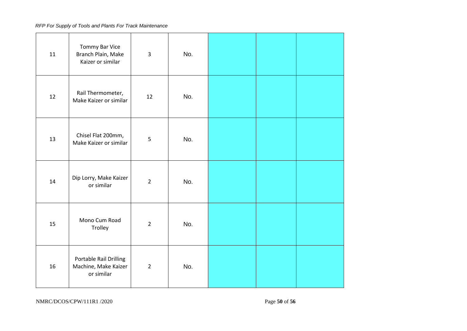| 11 | Tommy Bar Vice<br>Branch Plain, Make<br>Kaizer or similar    | $\overline{3}$ | No. |  |  |
|----|--------------------------------------------------------------|----------------|-----|--|--|
| 12 | Rail Thermometer,<br>Make Kaizer or similar                  | 12             | No. |  |  |
| 13 | Chisel Flat 200mm,<br>Make Kaizer or similar                 | 5              | No. |  |  |
| 14 | Dip Lorry, Make Kaizer<br>or similar                         | $\overline{2}$ | No. |  |  |
| 15 | Mono Cum Road<br>Trolley                                     | $\overline{2}$ | No. |  |  |
| 16 | Portable Rail Drilling<br>Machine, Make Kaizer<br>or similar | $\overline{2}$ | No. |  |  |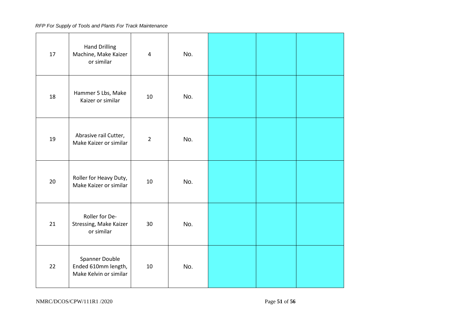| 17 | <b>Hand Drilling</b><br>Machine, Make Kaizer<br>or similar      | 4              | No. |  |  |
|----|-----------------------------------------------------------------|----------------|-----|--|--|
| 18 | Hammer 5 Lbs, Make<br>Kaizer or similar                         | 10             | No. |  |  |
| 19 | Abrasive rail Cutter,<br>Make Kaizer or similar                 | $\overline{2}$ | No. |  |  |
| 20 | Roller for Heavy Duty,<br>Make Kaizer or similar                | 10             | No. |  |  |
| 21 | Roller for De-<br>Stressing, Make Kaizer<br>or similar          | 30             | No. |  |  |
| 22 | Spanner Double<br>Ended 610mm length,<br>Make Kelvin or similar | 10             | No. |  |  |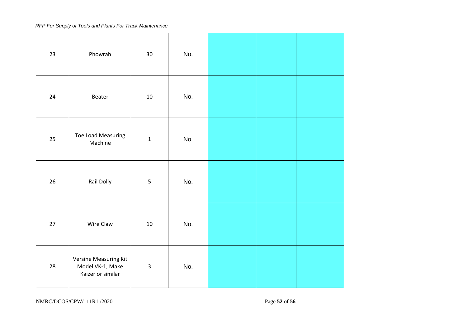| 23     | Phowrah                                                               | 30           | No. |  |  |
|--------|-----------------------------------------------------------------------|--------------|-----|--|--|
| 24     | Beater                                                                | 10           | No. |  |  |
| 25     | <b>Toe Load Measuring</b><br>Machine                                  | $\mathbf{1}$ | No. |  |  |
| 26     | Rail Dolly                                                            | 5            | No. |  |  |
| $27\,$ | Wire Claw                                                             | $10\,$       | No. |  |  |
| 28     | <b>Versine Measuring Kit</b><br>Model VK-1, Make<br>Kaizer or similar | $\mathsf{3}$ | No. |  |  |

NMRC/DCOS/CPW/111R1 /2020 Page **52** of **56**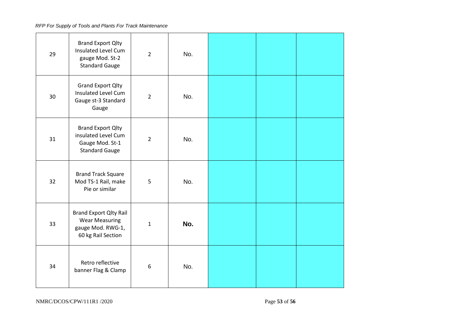| 29 | <b>Brand Export Qlty</b><br>Insulated Level Cum<br>gauge Mod. St-2<br><b>Standard Gauge</b>       | $\overline{2}$   | No. |  |  |
|----|---------------------------------------------------------------------------------------------------|------------------|-----|--|--|
| 30 | <b>Grand Export Qlty</b><br><b>Insulated Level Cum</b><br>Gauge st-3 Standard<br>Gauge            | $\overline{2}$   | No. |  |  |
| 31 | <b>Brand Export Qlty</b><br>insulated Level Cum<br>Gauge Mod. St-1<br><b>Standard Gauge</b>       | $\overline{2}$   | No. |  |  |
| 32 | <b>Brand Track Square</b><br>Mod TS-1 Rail, make<br>Pie or similar                                | 5                | No. |  |  |
| 33 | <b>Brand Export Qlty Rail</b><br><b>Wear Measuring</b><br>gauge Mod. RWG-1,<br>60 kg Rail Section | $\mathbf{1}$     | No. |  |  |
| 34 | Retro reflective<br>banner Flag & Clamp                                                           | $\boldsymbol{6}$ | No. |  |  |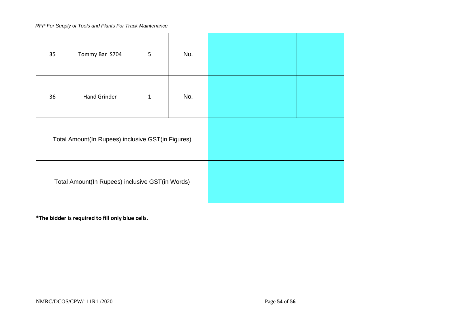| 35 | Tommy Bar IS704                                   | 5            | No. |  |  |
|----|---------------------------------------------------|--------------|-----|--|--|
| 36 | <b>Hand Grinder</b>                               | $\mathbf{1}$ | No. |  |  |
|    | Total Amount(In Rupees) inclusive GST(in Figures) |              |     |  |  |
|    | Total Amount(In Rupees) inclusive GST(in Words)   |              |     |  |  |

**\*The bidder is required to fill only blue cells.**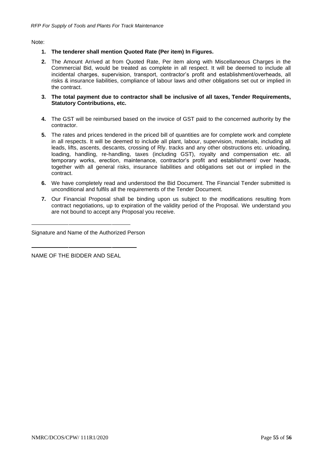Note:

- **1. The tenderer shall mention Quoted Rate (Per item) In Figures.**
- **2.** The Amount Arrived at from Quoted Rate, Per item along with Miscellaneous Charges in the Commercial Bid, would be treated as complete in all respect. It will be deemed to include all incidental charges, supervision, transport, contractor's profit and establishment/overheads, all risks & insurance liabilities, compliance of labour laws and other obligations set out or implied in the contract.
- **3. The total payment due to contractor shall be inclusive of all taxes, Tender Requirements, Statutory Contributions, etc.**
- **4.** The GST will be reimbursed based on the invoice of GST paid to the concerned authority by the contractor.
- **5.** The rates and prices tendered in the priced bill of quantities are for complete work and complete in all respects. It will be deemed to include all plant, labour, supervision, materials, including all leads, lifts, ascents, descants, crossing of Rly. tracks and any other obstructions etc. unloading, loading, handling, re-handling, taxes (including GST), royalty and compensation etc. all temporary works, erection, maintenance, contractor's profit and establishment/ over heads, together with all general risks, insurance liabilities and obligations set out or implied in the contract.
- **6.** We have completely read and understood the Bid Document. The Financial Tender submitted is unconditional and fulfils all the requirements of the Tender Document.
- **7.** Our Financial Proposal shall be binding upon us subject to the modifications resulting from contract negotiations, up to expiration of the validity period of the Proposal. We understand you are not bound to accept any Proposal you receive.

Signature and Name of the Authorized Person

NAME OF THE BIDDER AND SEAL